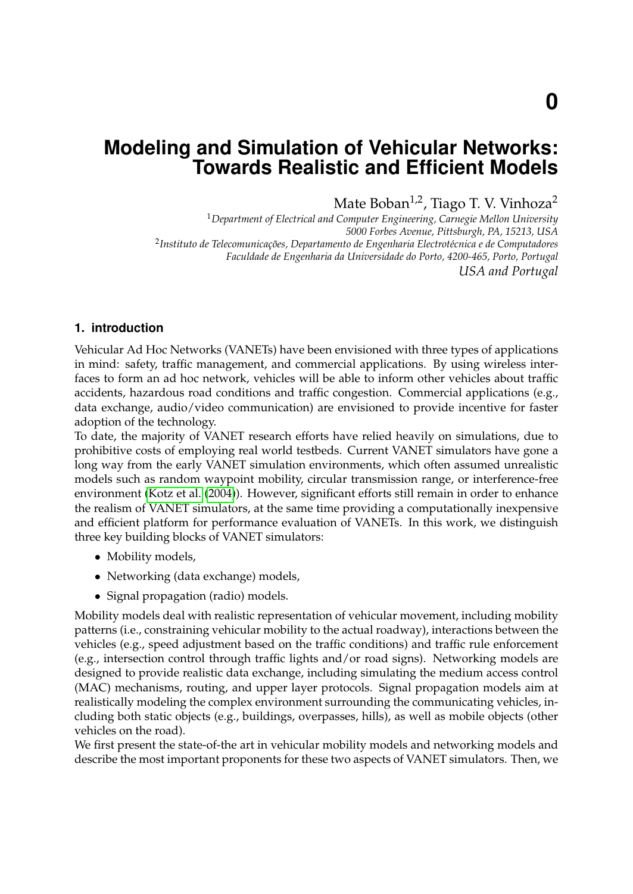# **Modeling and Simulation of Vehicular Networks: Towards Realistic and Efficient Models**

Mate Boban<sup>1,2</sup>, Tiago T. V. Vinhoza<sup>2</sup>

<sup>1</sup>*Department of Electrical and Computer Engineering, Carnegie Mellon University 5000 Forbes Avenue, Pittsburgh, PA, 15213, USA* <sup>2</sup>Instituto de Telecomunicações, Departamento de Engenharia Electrotécnica e de Computadores *Faculdade de Engenharia da Universidade do Porto, 4200-465, Porto, Portugal USA and Portugal*

# **1. introduction**

Vehicular Ad Hoc Networks (VANETs) have been envisioned with three types of applications in mind: safety, traffic management, and commercial applications. By using wireless interfaces to form an ad hoc network, vehicles will be able to inform other vehicles about traffic accidents, hazardous road conditions and traffic congestion. Commercial applications (e.g., data exchange, audio/video communication) are envisioned to provide incentive for faster adoption of the technology.

To date, the majority of VANET research efforts have relied heavily on simulations, due to prohibitive costs of employing real world testbeds. Current VANET simulators have gone a long way from the early VANET simulation environments, which often assumed unrealistic models such as random waypoint mobility, circular transmission range, or interference-free environment [\(Kotz et al.](#page-23-0) [\(2004\)](#page-23-0)). However, significant efforts still remain in order to enhance the realism of VANET simulators, at the same time providing a computationally inexpensive and efficient platform for performance evaluation of VANETs. In this work, we distinguish three key building blocks of VANET simulators:

- Mobility models,
- Networking (data exchange) models,
- Signal propagation (radio) models.

Mobility models deal with realistic representation of vehicular movement, including mobility patterns (i.e., constraining vehicular mobility to the actual roadway), interactions between the vehicles (e.g., speed adjustment based on the traffic conditions) and traffic rule enforcement (e.g., intersection control through traffic lights and/or road signs). Networking models are designed to provide realistic data exchange, including simulating the medium access control (MAC) mechanisms, routing, and upper layer protocols. Signal propagation models aim at realistically modeling the complex environment surrounding the communicating vehicles, including both static objects (e.g., buildings, overpasses, hills), as well as mobile objects (other vehicles on the road).

We first present the state-of-the art in vehicular mobility models and networking models and describe the most important proponents for these two aspects of VANET simulators. Then, we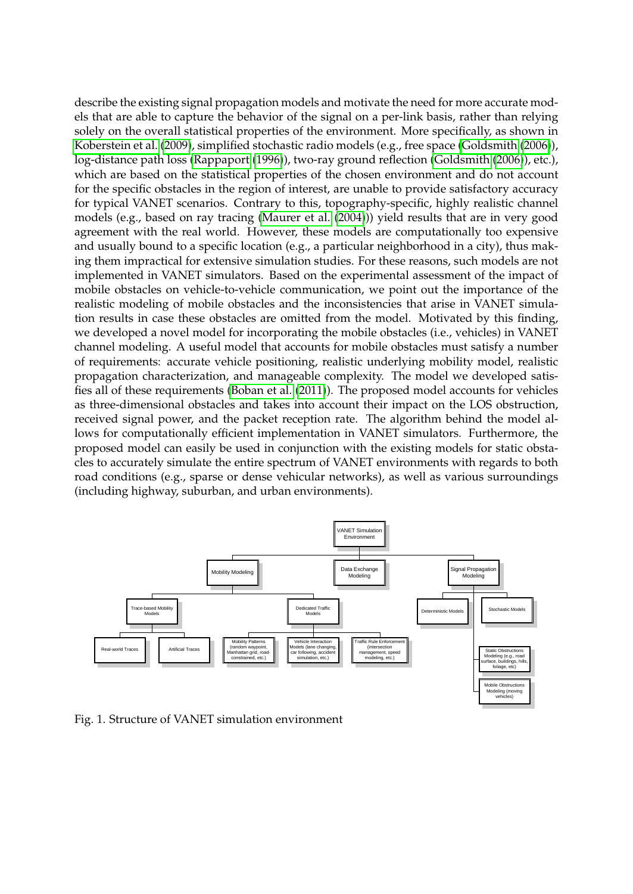describe the existing signal propagation models and motivate the need for more accurate models that are able to capture the behavior of the signal on a per-link basis, rather than relying solely on the overall statistical properties of the environment. More specifically, as shown in [Koberstein et al.](#page-23-1) [\(2009\)](#page-23-1), simplified stochastic radio models (e.g., free space [\(Goldsmith](#page-23-2) [\(2006\)](#page-23-2)), log-distance path loss [\(Rappaport](#page-25-0) [\(1996\)](#page-25-0)), two-ray ground reflection [\(Goldsmith](#page-23-2) [\(2006\)](#page-23-2)), etc.), which are based on the statistical properties of the chosen environment and do not account for the specific obstacles in the region of interest, are unable to provide satisfactory accuracy for typical VANET scenarios. Contrary to this, topography-specific, highly realistic channel models (e.g., based on ray tracing [\(Maurer et al.](#page-24-0) [\(2004\)](#page-24-0))) yield results that are in very good agreement with the real world. However, these models are computationally too expensive and usually bound to a specific location (e.g., a particular neighborhood in a city), thus making them impractical for extensive simulation studies. For these reasons, such models are not implemented in VANET simulators. Based on the experimental assessment of the impact of mobile obstacles on vehicle-to-vehicle communication, we point out the importance of the realistic modeling of mobile obstacles and the inconsistencies that arise in VANET simulation results in case these obstacles are omitted from the model. Motivated by this finding, we developed a novel model for incorporating the mobile obstacles (i.e., vehicles) in VANET channel modeling. A useful model that accounts for mobile obstacles must satisfy a number of requirements: accurate vehicle positioning, realistic underlying mobility model, realistic propagation characterization, and manageable complexity. The model we developed satisfies all of these requirements [\(Boban et al.](#page-22-0) [\(2011\)](#page-22-0)). The proposed model accounts for vehicles as three-dimensional obstacles and takes into account their impact on the LOS obstruction, received signal power, and the packet reception rate. The algorithm behind the model allows for computationally efficient implementation in VANET simulators. Furthermore, the proposed model can easily be used in conjunction with the existing models for static obstacles to accurately simulate the entire spectrum of VANET environments with regards to both road conditions (e.g., sparse or dense vehicular networks), as well as various surroundings (including highway, suburban, and urban environments).

<span id="page-1-0"></span>

Fig. 1. Structure of VANET simulation environment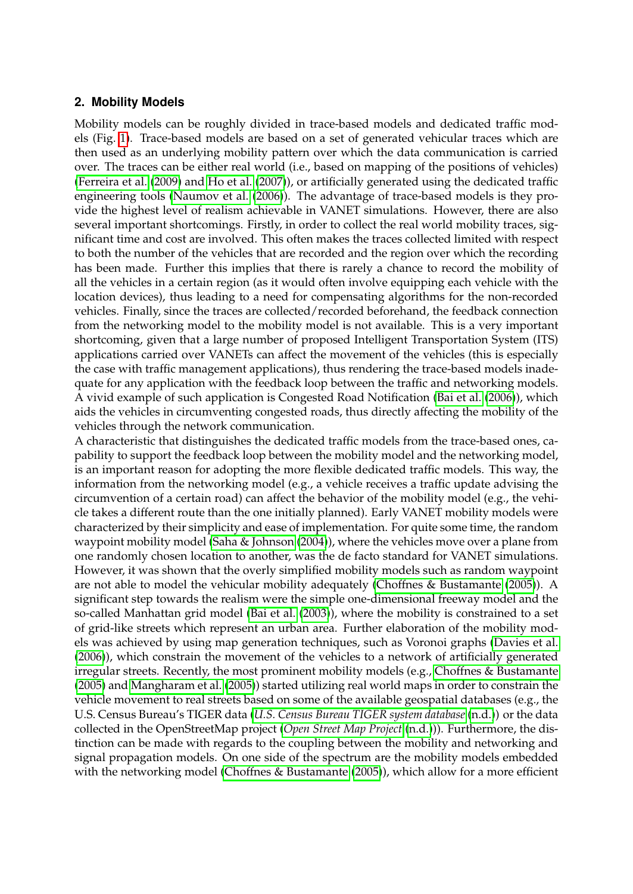# **2. Mobility Models**

Mobility models can be roughly divided in trace-based models and dedicated traffic models (Fig. [1\)](#page-1-0). Trace-based models are based on a set of generated vehicular traces which are then used as an underlying mobility pattern over which the data communication is carried over. The traces can be either real world (i.e., based on mapping of the positions of vehicles) [\(Ferreira et al.](#page-23-3) [\(2009\)](#page-23-3) and [Ho et al.](#page-23-4) [\(2007\)](#page-23-4)), or artificially generated using the dedicated traffic engineering tools [\(Naumov et al.](#page-24-1) [\(2006\)](#page-24-1)). The advantage of trace-based models is they provide the highest level of realism achievable in VANET simulations. However, there are also several important shortcomings. Firstly, in order to collect the real world mobility traces, significant time and cost are involved. This often makes the traces collected limited with respect to both the number of the vehicles that are recorded and the region over which the recording has been made. Further this implies that there is rarely a chance to record the mobility of all the vehicles in a certain region (as it would often involve equipping each vehicle with the location devices), thus leading to a need for compensating algorithms for the non-recorded vehicles. Finally, since the traces are collected/recorded beforehand, the feedback connection from the networking model to the mobility model is not available. This is a very important shortcoming, given that a large number of proposed Intelligent Transportation System (ITS) applications carried over VANETs can affect the movement of the vehicles (this is especially the case with traffic management applications), thus rendering the trace-based models inadequate for any application with the feedback loop between the traffic and networking models. A vivid example of such application is Congested Road Notification [\(Bai et al.](#page-22-1) [\(2006\)](#page-22-1)), which aids the vehicles in circumventing congested roads, thus directly affecting the mobility of the vehicles through the network communication.

A characteristic that distinguishes the dedicated traffic models from the trace-based ones, capability to support the feedback loop between the mobility model and the networking model, is an important reason for adopting the more flexible dedicated traffic models. This way, the information from the networking model (e.g., a vehicle receives a traffic update advising the circumvention of a certain road) can affect the behavior of the mobility model (e.g., the vehicle takes a different route than the one initially planned). Early VANET mobility models were characterized by their simplicity and ease of implementation. For quite some time, the random waypoint mobility model [\(Saha & Johnson](#page-25-1) [\(2004\)](#page-25-1)), where the vehicles move over a plane from one randomly chosen location to another, was the de facto standard for VANET simulations. However, it was shown that the overly simplified mobility models such as random waypoint are not able to model the vehicular mobility adequately [\(Choffnes & Bustamante](#page-22-2) [\(2005\)](#page-22-2)). A significant step towards the realism were the simple one-dimensional freeway model and the so-called Manhattan grid model [\(Bai et al.](#page-22-3) [\(2003\)](#page-22-3)), where the mobility is constrained to a set of grid-like streets which represent an urban area. Further elaboration of the mobility models was achieved by using map generation techniques, such as Voronoi graphs [\(Davies et al.](#page-22-4) [\(2006\)](#page-22-4)), which constrain the movement of the vehicles to a network of artificially generated irregular streets. Recently, the most prominent mobility models (e.g., [Choffnes & Bustamante](#page-22-2) [\(2005\)](#page-22-2) and [Mangharam et al.](#page-24-2) [\(2005\)](#page-24-2)) started utilizing real world maps in order to constrain the vehicle movement to real streets based on some of the available geospatial databases (e.g., the U.S. Census Bureau's TIGER data (*[U.S. Census Bureau TIGER system database](#page-25-2)* [\(n.d.\)](#page-25-2)) or the data collected in the OpenStreetMap project (*[Open Street Map Project](#page-24-3)* [\(n.d.\)](#page-24-3))). Furthermore, the distinction can be made with regards to the coupling between the mobility and networking and signal propagation models. On one side of the spectrum are the mobility models embedded with the networking model [\(Choffnes & Bustamante](#page-22-2) [\(2005\)](#page-22-2)), which allow for a more efficient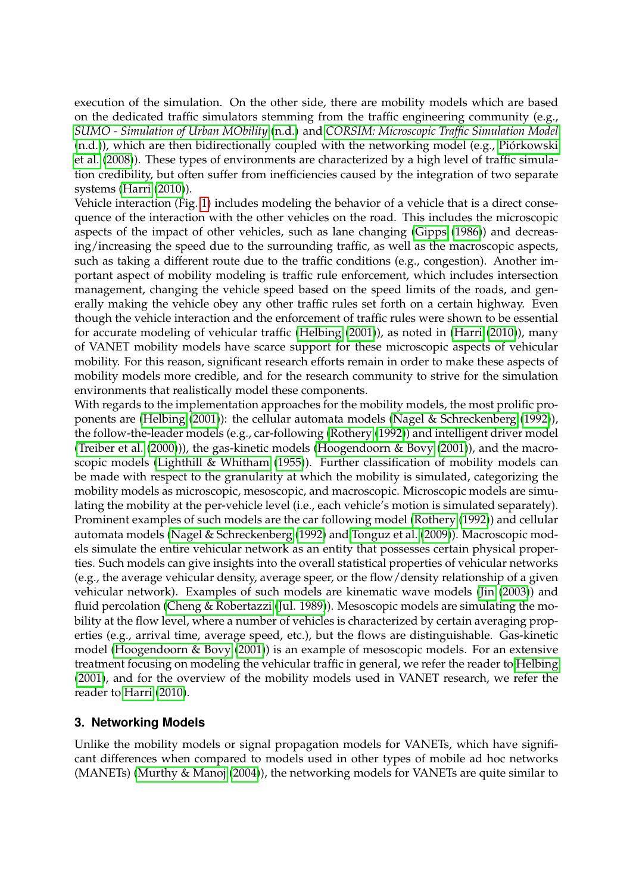execution of the simulation. On the other side, there are mobility models which are based on the dedicated traffic simulators stemming from the traffic engineering community (e.g., *[SUMO - Simulation of Urban MObility](#page-25-3)* [\(n.d.\)](#page-25-3) and *[CORSIM: Microscopic Traffic Simulation Model](#page-22-5)* [\(n.d.\)](#page-22-5)), which are then bidirectionally coupled with the networking model (e.g., Piórkowski [et al.](#page-24-4) [\(2008\)](#page-24-4)). These types of environments are characterized by a high level of traffic simulation credibility, but often suffer from inefficiencies caused by the integration of two separate systems [\(Harri](#page-23-5) [\(2010\)](#page-23-5)).

Vehicle interaction (Fig. [1\)](#page-1-0) includes modeling the behavior of a vehicle that is a direct consequence of the interaction with the other vehicles on the road. This includes the microscopic aspects of the impact of other vehicles, such as lane changing [\(Gipps](#page-23-6) [\(1986\)](#page-23-6)) and decreasing/increasing the speed due to the surrounding traffic, as well as the macroscopic aspects, such as taking a different route due to the traffic conditions (e.g., congestion). Another important aspect of mobility modeling is traffic rule enforcement, which includes intersection management, changing the vehicle speed based on the speed limits of the roads, and generally making the vehicle obey any other traffic rules set forth on a certain highway. Even though the vehicle interaction and the enforcement of traffic rules were shown to be essential for accurate modeling of vehicular traffic [\(Helbing](#page-23-7) [\(2001\)](#page-23-7)), as noted in [\(Harri](#page-23-5) [\(2010\)](#page-23-5)), many of VANET mobility models have scarce support for these microscopic aspects of vehicular mobility. For this reason, significant research efforts remain in order to make these aspects of mobility models more credible, and for the research community to strive for the simulation environments that realistically model these components.

With regards to the implementation approaches for the mobility models, the most prolific proponents are [\(Helbing](#page-23-7) [\(2001\)](#page-23-7)): the cellular automata models [\(Nagel & Schreckenberg](#page-24-5) [\(1992\)](#page-24-5)), the follow-the-leader models (e.g., car-following [\(Rothery](#page-25-4) [\(1992\)](#page-25-4)) and intelligent driver model [\(Treiber et al.](#page-25-5) [\(2000\)](#page-25-5))), the gas-kinetic models [\(Hoogendoorn & Bovy](#page-23-8) [\(2001\)](#page-23-8)), and the macroscopic models [\(Lighthill & Whitham](#page-24-6) [\(1955\)](#page-24-6)). Further classification of mobility models can be made with respect to the granularity at which the mobility is simulated, categorizing the mobility models as microscopic, mesoscopic, and macroscopic. Microscopic models are simulating the mobility at the per-vehicle level (i.e., each vehicle's motion is simulated separately). Prominent examples of such models are the car following model [\(Rothery](#page-25-4) [\(1992\)](#page-25-4)) and cellular automata models [\(Nagel & Schreckenberg](#page-24-5) [\(1992\)](#page-24-5) and [Tonguz et al.](#page-25-6) [\(2009\)](#page-25-6)). Macroscopic models simulate the entire vehicular network as an entity that possesses certain physical properties. Such models can give insights into the overall statistical properties of vehicular networks (e.g., the average vehicular density, average speer, or the flow/density relationship of a given vehicular network). Examples of such models are kinematic wave models [\(Jin](#page-23-9) [\(2003\)](#page-23-9)) and fluid percolation [\(Cheng & Robertazzi](#page-22-6) [\(Jul. 1989\)](#page-22-6)). Mesoscopic models are simulating the mobility at the flow level, where a number of vehicles is characterized by certain averaging properties (e.g., arrival time, average speed, etc.), but the flows are distinguishable. Gas-kinetic model [\(Hoogendoorn & Bovy](#page-23-8) [\(2001\)](#page-23-8)) is an example of mesoscopic models. For an extensive treatment focusing on modeling the vehicular traffic in general, we refer the reader to [Helbing](#page-23-7) [\(2001\)](#page-23-7), and for the overview of the mobility models used in VANET research, we refer the reader to [Harri](#page-23-5) [\(2010\)](#page-23-5).

# **3. Networking Models**

Unlike the mobility models or signal propagation models for VANETs, which have significant differences when compared to models used in other types of mobile ad hoc networks (MANETs) [\(Murthy & Manoj](#page-24-7) [\(2004\)](#page-24-7)), the networking models for VANETs are quite similar to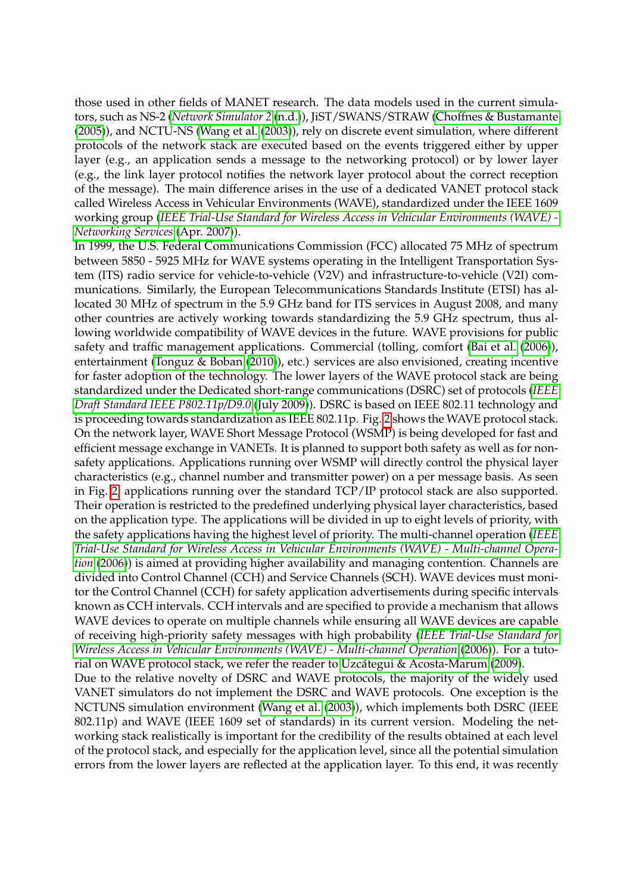those used in other fields of MANET research. The data models used in the current simulators, such as NS-2 (*[Network Simulator 2](#page-24-8)* [\(n.d.\)](#page-24-8)), JiST/SWANS/STRAW [\(Choffnes & Bustamante](#page-22-2) [\(2005\)](#page-22-2)), and NCTU-NS [\(Wang et al.](#page-25-7) [\(2003\)](#page-25-7)), rely on discrete event simulation, where different protocols of the network stack are executed based on the events triggered either by upper layer (e.g., an application sends a message to the networking protocol) or by lower layer (e.g., the link layer protocol notifies the network layer protocol about the correct reception of the message). The main difference arises in the use of a dedicated VANET protocol stack called Wireless Access in Vehicular Environments (WAVE), standardized under the IEEE 1609 working group (*[IEEE Trial-Use Standard for Wireless Access in Vehicular Environments \(WAVE\) -](#page-23-10) [Networking Services](#page-23-10)* [\(Apr. 2007\)](#page-23-10)).

In 1999, the U.S. Federal Communications Commission (FCC) allocated 75 MHz of spectrum between 5850 - 5925 MHz for WAVE systems operating in the Intelligent Transportation System (ITS) radio service for vehicle-to-vehicle (V2V) and infrastructure-to-vehicle (V2I) communications. Similarly, the European Telecommunications Standards Institute (ETSI) has allocated 30 MHz of spectrum in the 5.9 GHz band for ITS services in August 2008, and many other countries are actively working towards standardizing the 5.9 GHz spectrum, thus allowing worldwide compatibility of WAVE devices in the future. WAVE provisions for public safety and traffic management applications. Commercial (tolling, comfort [\(Bai et al.](#page-22-1) [\(2006\)](#page-22-1)), entertainment [\(Tonguz & Boban](#page-25-8) [\(2010\)](#page-25-8)), etc.) services are also envisioned, creating incentive for faster adoption of the technology. The lower layers of the WAVE protocol stack are being standardized under the Dedicated short-range communications (DSRC) set of protocols (*[IEEE](#page-23-11) [Draft Standard IEEE P802.11p/D9.0](#page-23-11)* [\(July 2009\)](#page-23-11)). DSRC is based on IEEE 802.11 technology and is proceeding towards standardization as IEEE 802.11p. Fig. [2](#page-5-0) shows the WAVE protocol stack. On the network layer, WAVE Short Message Protocol (WSMP) is being developed for fast and efficient message exchange in VANETs. It is planned to support both safety as well as for nonsafety applications. Applications running over WSMP will directly control the physical layer characteristics (e.g., channel number and transmitter power) on a per message basis. As seen in Fig. [2,](#page-5-0) applications running over the standard TCP/IP protocol stack are also supported. Their operation is restricted to the predefined underlying physical layer characteristics, based on the application type. The applications will be divided in up to eight levels of priority, with the safety applications having the highest level of priority. The multi-channel operation (*[IEEE](#page-23-12) [Trial-Use Standard for Wireless Access in Vehicular Environments \(WAVE\) - Multi-channel Opera](#page-23-12)[tion](#page-23-12)* [\(2006\)](#page-23-12)) is aimed at providing higher availability and managing contention. Channels are divided into Control Channel (CCH) and Service Channels (SCH). WAVE devices must monitor the Control Channel (CCH) for safety application advertisements during specific intervals known as CCH intervals. CCH intervals and are specified to provide a mechanism that allows WAVE devices to operate on multiple channels while ensuring all WAVE devices are capable of receiving high-priority safety messages with high probability (*[IEEE Trial-Use Standard for](#page-23-12) [Wireless Access in Vehicular Environments \(WAVE\) - Multi-channel Operation](#page-23-12)* [\(2006\)](#page-23-12)). For a tuto-rial on WAVE protocol stack, we refer the reader to Uzcátegui & Acosta-Marum [\(2009\)](#page-25-9).

Due to the relative novelty of DSRC and WAVE protocols, the majority of the widely used VANET simulators do not implement the DSRC and WAVE protocols. One exception is the NCTUNS simulation environment [\(Wang et al.](#page-25-7) [\(2003\)](#page-25-7)), which implements both DSRC (IEEE 802.11p) and WAVE (IEEE 1609 set of standards) in its current version. Modeling the networking stack realistically is important for the credibility of the results obtained at each level of the protocol stack, and especially for the application level, since all the potential simulation errors from the lower layers are reflected at the application layer. To this end, it was recently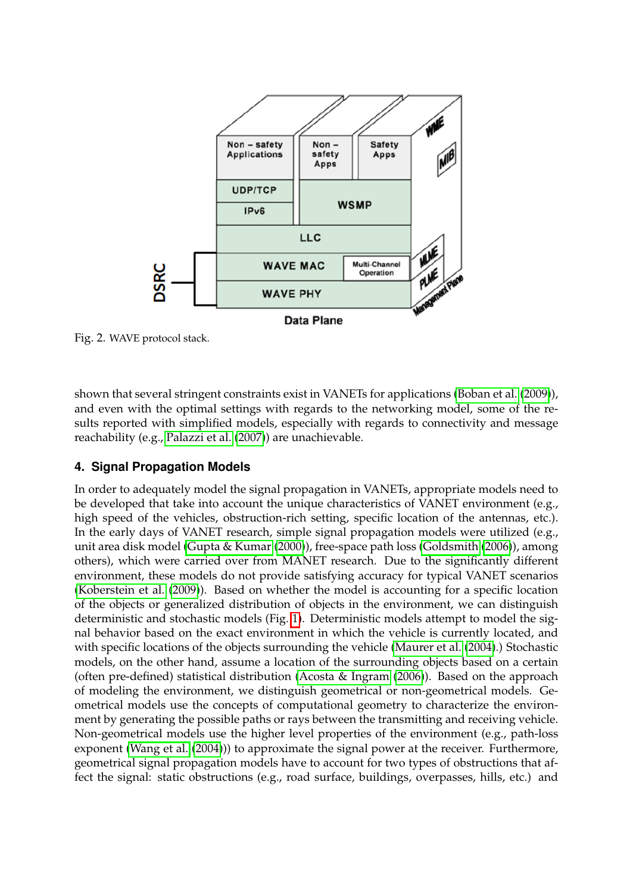<span id="page-5-0"></span>

Fig. 2. WAVE protocol stack.

shown that several stringent constraints exist in VANETs for applications [\(Boban et al.](#page-22-7) [\(2009\)](#page-22-7)), and even with the optimal settings with regards to the networking model, some of the results reported with simplified models, especially with regards to connectivity and message reachability (e.g., [Palazzi et al.](#page-24-9) [\(2007\)](#page-24-9)) are unachievable.

# **4. Signal Propagation Models**

In order to adequately model the signal propagation in VANETs, appropriate models need to be developed that take into account the unique characteristics of VANET environment (e.g., high speed of the vehicles, obstruction-rich setting, specific location of the antennas, etc.). In the early days of VANET research, simple signal propagation models were utilized (e.g., unit area disk model [\(Gupta & Kumar](#page-23-13) [\(2000\)](#page-23-13)), free-space path loss [\(Goldsmith](#page-23-2) [\(2006\)](#page-23-2)), among others), which were carried over from MANET research. Due to the significantly different environment, these models do not provide satisfying accuracy for typical VANET scenarios [\(Koberstein et al.](#page-23-1) [\(2009\)](#page-23-1)). Based on whether the model is accounting for a specific location of the objects or generalized distribution of objects in the environment, we can distinguish deterministic and stochastic models (Fig. [1\)](#page-1-0). Deterministic models attempt to model the signal behavior based on the exact environment in which the vehicle is currently located, and with specific locations of the objects surrounding the vehicle [\(Maurer et al.](#page-24-0) [\(2004\)](#page-24-0).) Stochastic models, on the other hand, assume a location of the surrounding objects based on a certain (often pre-defined) statistical distribution [\(Acosta & Ingram](#page-22-8) [\(2006\)](#page-22-8)). Based on the approach of modeling the environment, we distinguish geometrical or non-geometrical models. Geometrical models use the concepts of computational geometry to characterize the environment by generating the possible paths or rays between the transmitting and receiving vehicle. Non-geometrical models use the higher level properties of the environment (e.g., path-loss exponent [\(Wang et al.](#page-25-10) [\(2004\)](#page-25-10))) to approximate the signal power at the receiver. Furthermore, geometrical signal propagation models have to account for two types of obstructions that affect the signal: static obstructions (e.g., road surface, buildings, overpasses, hills, etc.) and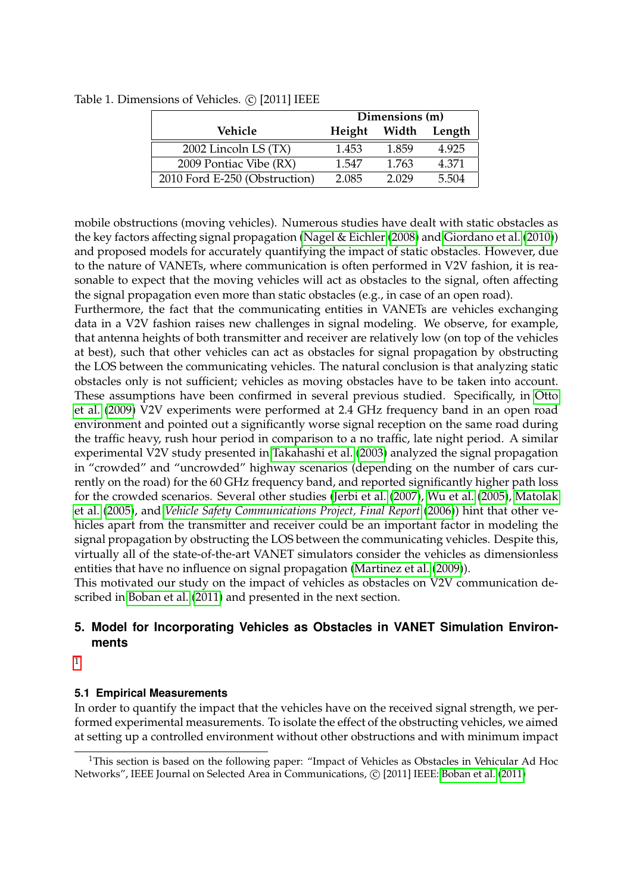|                               | Dimensions (m) |       |        |
|-------------------------------|----------------|-------|--------|
| Vehicle                       | Height         | Width | Length |
| 2002 Lincoln LS (TX)          | 1.453          | 1.859 | 4.925  |
| 2009 Pontiac Vibe (RX)        | 1.547          | 1.763 | 4.371  |
| 2010 Ford E-250 (Obstruction) | 2.085          | 2.029 | 5.504  |

<span id="page-6-1"></span>Table 1. Dimensions of Vehicles. (c) [2011] IEEE

mobile obstructions (moving vehicles). Numerous studies have dealt with static obstacles as the key factors affecting signal propagation [\(Nagel & Eichler](#page-24-10) [\(2008\)](#page-24-10) and [Giordano et al.](#page-23-14) [\(2010\)](#page-23-14)) and proposed models for accurately quantifying the impact of static obstacles. However, due to the nature of VANETs, where communication is often performed in V2V fashion, it is reasonable to expect that the moving vehicles will act as obstacles to the signal, often affecting the signal propagation even more than static obstacles (e.g., in case of an open road).

Furthermore, the fact that the communicating entities in VANETs are vehicles exchanging data in a V2V fashion raises new challenges in signal modeling. We observe, for example, that antenna heights of both transmitter and receiver are relatively low (on top of the vehicles at best), such that other vehicles can act as obstacles for signal propagation by obstructing the LOS between the communicating vehicles. The natural conclusion is that analyzing static obstacles only is not sufficient; vehicles as moving obstacles have to be taken into account. These assumptions have been confirmed in several previous studied. Specifically, in [Otto](#page-24-11) [et al.](#page-24-11) [\(2009\)](#page-24-11) V2V experiments were performed at 2.4 GHz frequency band in an open road environment and pointed out a significantly worse signal reception on the same road during the traffic heavy, rush hour period in comparison to a no traffic, late night period. A similar experimental V2V study presented in [Takahashi et al.](#page-25-11) [\(2003\)](#page-25-11) analyzed the signal propagation in "crowded" and "uncrowded" highway scenarios (depending on the number of cars currently on the road) for the 60 GHz frequency band, and reported significantly higher path loss for the crowded scenarios. Several other studies [\(Jerbi et al.](#page-23-15) [\(2007\)](#page-23-15), [Wu et al.](#page-25-12) [\(2005\)](#page-25-12), [Matolak](#page-24-12) [et al.](#page-24-12) [\(2005\)](#page-24-12), and *[Vehicle Safety Communications Project, Final Report](#page-25-13)* [\(2006\)](#page-25-13)) hint that other vehicles apart from the transmitter and receiver could be an important factor in modeling the signal propagation by obstructing the LOS between the communicating vehicles. Despite this, virtually all of the state-of-the-art VANET simulators consider the vehicles as dimensionless entities that have no influence on signal propagation [\(Martinez et al.](#page-24-13) [\(2009\)](#page-24-13)).

This motivated our study on the impact of vehicles as obstacles on V2V communication described in [Boban et al.](#page-22-0) [\(2011\)](#page-22-0) and presented in the next section.

# **5. Model for Incorporating Vehicles as Obstacles in VANET Simulation Environments**

[1](#page-6-0)

#### **5.1 Empirical Measurements**

In order to quantify the impact that the vehicles have on the received signal strength, we performed experimental measurements. To isolate the effect of the obstructing vehicles, we aimed at setting up a controlled environment without other obstructions and with minimum impact

<span id="page-6-0"></span> $1$ This section is based on the following paper: "Impact of Vehicles as Obstacles in Vehicular Ad Hoc Networks", IEEE Journal on Selected Area in Communications, c [2011] IEEE: [Boban et al.](#page-22-0) [\(2011\)](#page-22-0)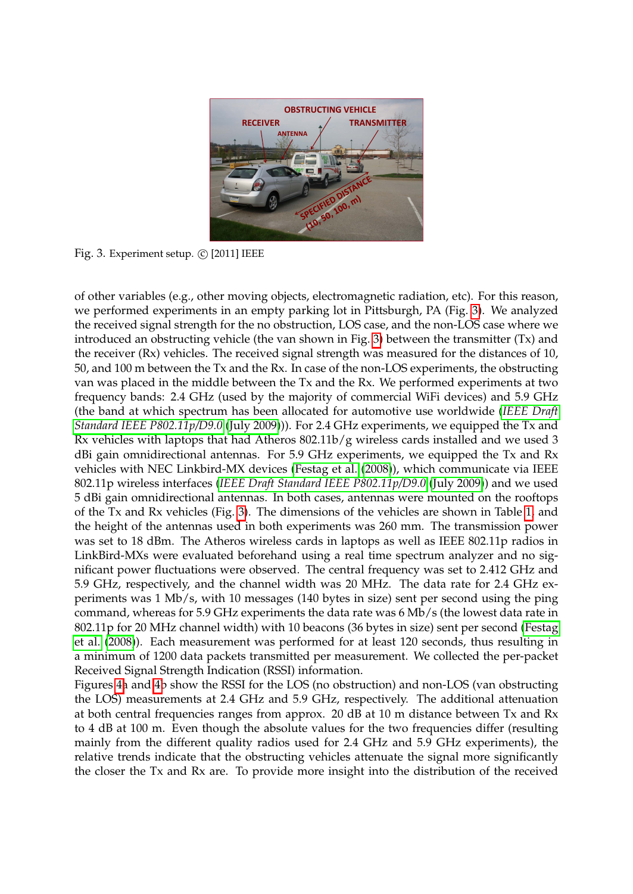<span id="page-7-0"></span>

Fig. 3. Experiment setup. © [2011] IEEE

of other variables (e.g., other moving objects, electromagnetic radiation, etc). For this reason, we performed experiments in an empty parking lot in Pittsburgh, PA (Fig. [3\)](#page-7-0). We analyzed the received signal strength for the no obstruction, LOS case, and the non-LOS case where we introduced an obstructing vehicle (the van shown in Fig. [3\)](#page-7-0) between the transmitter (Tx) and the receiver (Rx) vehicles. The received signal strength was measured for the distances of 10, 50, and 100 m between the Tx and the Rx. In case of the non-LOS experiments, the obstructing van was placed in the middle between the Tx and the Rx. We performed experiments at two frequency bands: 2.4 GHz (used by the majority of commercial WiFi devices) and 5.9 GHz (the band at which spectrum has been allocated for automotive use worldwide (*[IEEE Draft](#page-23-11) [Standard IEEE P802.11p/D9.0](#page-23-11)* [\(July 2009\)](#page-23-11))). For 2.4 GHz experiments, we equipped the Tx and Rx vehicles with laptops that had Atheros  $802.11b/g$  wireless cards installed and we used 3 dBi gain omnidirectional antennas. For 5.9 GHz experiments, we equipped the Tx and Rx vehicles with NEC Linkbird-MX devices [\(Festag et al.](#page-23-16) [\(2008\)](#page-23-16)), which communicate via IEEE 802.11p wireless interfaces (*[IEEE Draft Standard IEEE P802.11p/D9.0](#page-23-11)* [\(July 2009\)](#page-23-11)) and we used 5 dBi gain omnidirectional antennas. In both cases, antennas were mounted on the rooftops of the Tx and Rx vehicles (Fig. [3\)](#page-7-0). The dimensions of the vehicles are shown in Table [1,](#page-6-1) and the height of the antennas used in both experiments was 260 mm. The transmission power was set to 18 dBm. The Atheros wireless cards in laptops as well as IEEE 802.11p radios in LinkBird-MXs were evaluated beforehand using a real time spectrum analyzer and no significant power fluctuations were observed. The central frequency was set to 2.412 GHz and 5.9 GHz, respectively, and the channel width was 20 MHz. The data rate for 2.4 GHz experiments was 1 Mb/s, with 10 messages (140 bytes in size) sent per second using the ping command, whereas for 5.9 GHz experiments the data rate was 6 Mb/s (the lowest data rate in 802.11p for 20 MHz channel width) with 10 beacons (36 bytes in size) sent per second [\(Festag](#page-23-16) [et al.](#page-23-16) [\(2008\)](#page-23-16)). Each measurement was performed for at least 120 seconds, thus resulting in a minimum of 1200 data packets transmitted per measurement. We collected the per-packet Received Signal Strength Indication (RSSI) information.

Figures [4a](#page-8-0) and [4b](#page-8-0) show the RSSI for the LOS (no obstruction) and non-LOS (van obstructing the LOS) measurements at 2.4 GHz and 5.9 GHz, respectively. The additional attenuation at both central frequencies ranges from approx. 20 dB at 10 m distance between Tx and Rx to 4 dB at 100 m. Even though the absolute values for the two frequencies differ (resulting mainly from the different quality radios used for 2.4 GHz and 5.9 GHz experiments), the relative trends indicate that the obstructing vehicles attenuate the signal more significantly the closer the Tx and Rx are. To provide more insight into the distribution of the received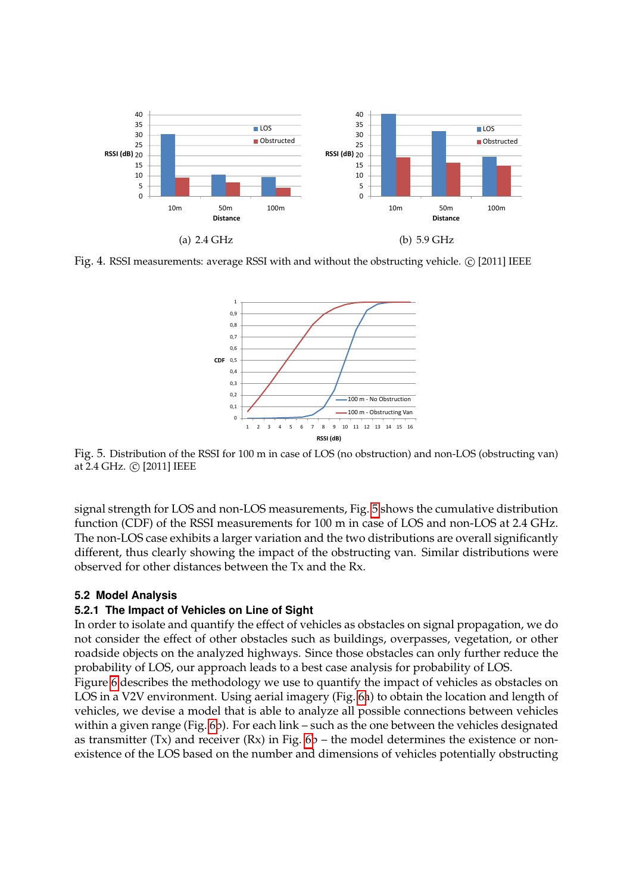<span id="page-8-0"></span>

<span id="page-8-1"></span>Fig. 4. RSSI measurements: average RSSI with and without the obstructing vehicle. © [2011] IEEE



Fig. 5. Distribution of the RSSI for 100 m in case of LOS (no obstruction) and non-LOS (obstructing van) at 2.4 GHz. (c) [2011] IEEE

signal strength for LOS and non-LOS measurements, Fig. [5](#page-8-1) shows the cumulative distribution function (CDF) of the RSSI measurements for 100 m in case of LOS and non-LOS at 2.4 GHz. The non-LOS case exhibits a larger variation and the two distributions are overall significantly different, thus clearly showing the impact of the obstructing van. Similar distributions were observed for other distances between the Tx and the Rx.

# <span id="page-8-2"></span>**5.2 Model Analysis**

# **5.2.1 The Impact of Vehicles on Line of Sight**

In order to isolate and quantify the effect of vehicles as obstacles on signal propagation, we do not consider the effect of other obstacles such as buildings, overpasses, vegetation, or other roadside objects on the analyzed highways. Since those obstacles can only further reduce the probability of LOS, our approach leads to a best case analysis for probability of LOS.

Figure [6](#page-9-0) describes the methodology we use to quantify the impact of vehicles as obstacles on LOS in a V2V environment. Using aerial imagery (Fig. [6a](#page-9-0)) to obtain the location and length of vehicles, we devise a model that is able to analyze all possible connections between vehicles within a given range (Fig. [6b](#page-9-0)). For each link – such as the one between the vehicles designated as transmitter  $(Tx)$  and receiver  $(Rx)$  in Fig. [6b](#page-9-0) – the model determines the existence or nonexistence of the LOS based on the number and dimensions of vehicles potentially obstructing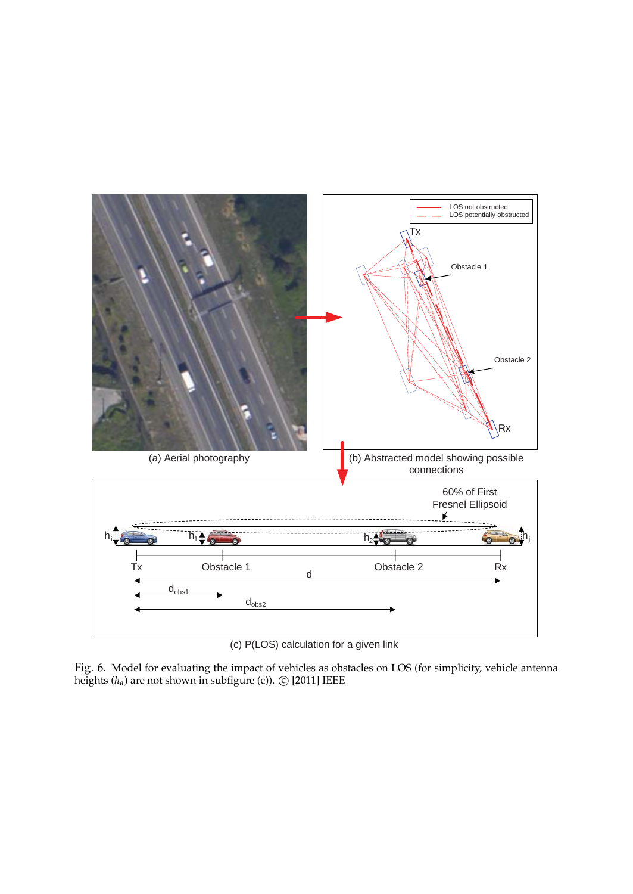<span id="page-9-0"></span>

(c) P(LOS) calculation for a given link

Fig. 6. Model for evaluating the impact of vehicles as obstacles on LOS (for simplicity, vehicle antenna heights ( $h_a$ ) are not shown in subfigure (c)). © [2011] IEEE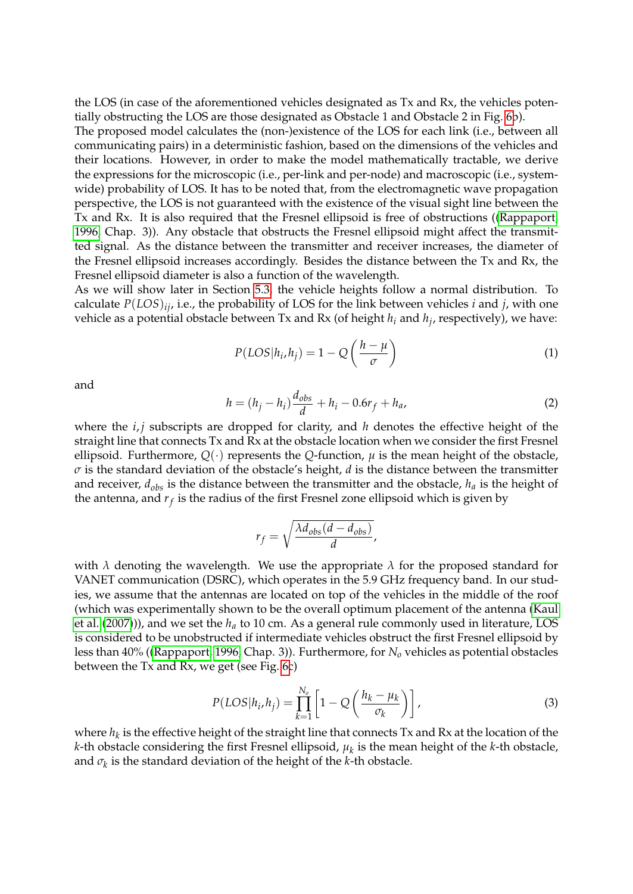the LOS (in case of the aforementioned vehicles designated as Tx and Rx, the vehicles potentially obstructing the LOS are those designated as Obstacle 1 and Obstacle 2 in Fig. [6b](#page-9-0)).

The proposed model calculates the (non-)existence of the LOS for each link (i.e., between all communicating pairs) in a deterministic fashion, based on the dimensions of the vehicles and their locations. However, in order to make the model mathematically tractable, we derive the expressions for the microscopic (i.e., per-link and per-node) and macroscopic (i.e., systemwide) probability of LOS. It has to be noted that, from the electromagnetic wave propagation perspective, the LOS is not guaranteed with the existence of the visual sight line between the Tx and Rx. It is also required that the Fresnel ellipsoid is free of obstructions ([\(Rappaport,](#page-25-0) [1996,](#page-25-0) Chap. 3)). Any obstacle that obstructs the Fresnel ellipsoid might affect the transmitted signal. As the distance between the transmitter and receiver increases, the diameter of the Fresnel ellipsoid increases accordingly. Besides the distance between the Tx and Rx, the Fresnel ellipsoid diameter is also a function of the wavelength.

As we will show later in Section [5.3,](#page-13-0) the vehicle heights follow a normal distribution. To calculate  $P(LOS)_{ij}$ , i.e., the probability of LOS for the link between vehicles *i* and *j*, with one vehicle as a potential obstacle between Tx and Rx (of height *h<sup>i</sup>* and *h<sup>j</sup>* , respectively), we have:

<span id="page-10-0"></span>
$$
P(LOS|h_i, h_j) = 1 - Q\left(\frac{h - \mu}{\sigma}\right)
$$
 (1)

and

$$
h = (h_j - h_i) \frac{d_{obs}}{d} + h_i - 0.6r_f + h_a,
$$
\n(2)

where the  $i, j$  subscripts are dropped for clarity, and  $h$  denotes the effective height of the straight line that connects Tx and Rx at the obstacle location when we consider the first Fresnel ellipsoid. Furthermore,  $Q(\cdot)$  represents the  $Q$ -function,  $\mu$  is the mean height of the obstacle,  $\sigma$  is the standard deviation of the obstacle's height,  $d$  is the distance between the transmitter and receiver,  $d_{obs}$  is the distance between the transmitter and the obstacle,  $h_a$  is the height of the antenna, and  $r_f$  is the radius of the first Fresnel zone ellipsoid which is given by

$$
r_f = \sqrt{\frac{\lambda d_{obs}(d - d_{obs})}{d}},
$$

with  $\lambda$  denoting the wavelength. We use the appropriate  $\lambda$  for the proposed standard for VANET communication (DSRC), which operates in the 5.9 GHz frequency band. In our studies, we assume that the antennas are located on top of the vehicles in the middle of the roof (which was experimentally shown to be the overall optimum placement of the antenna [\(Kaul](#page-23-17) [et al.](#page-23-17) [\(2007\)](#page-23-17))), and we set the *ha* to 10 cm. As a general rule commonly used in literature, LOS is considered to be unobstructed if intermediate vehicles obstruct the first Fresnel ellipsoid by less than 40% ([\(Rappaport, 1996,](#page-25-0) Chap. 3)). Furthermore, for *No* vehicles as potential obstacles between the Tx and Rx, we get (see Fig. [6c](#page-9-0))

$$
P(LOS|h_i, h_j) = \prod_{k=1}^{N_o} \left[ 1 - Q\left(\frac{h_k - \mu_k}{\sigma_k}\right) \right],
$$
\n(3)

where  $h_k$  is the effective height of the straight line that connects Tx and Rx at the location of the *k*-th obstacle considering the first Fresnel ellipsoid, *µ<sup>k</sup>* is the mean height of the *k*-th obstacle, and  $\sigma_k$  is the standard deviation of the height of the *k*-th obstacle.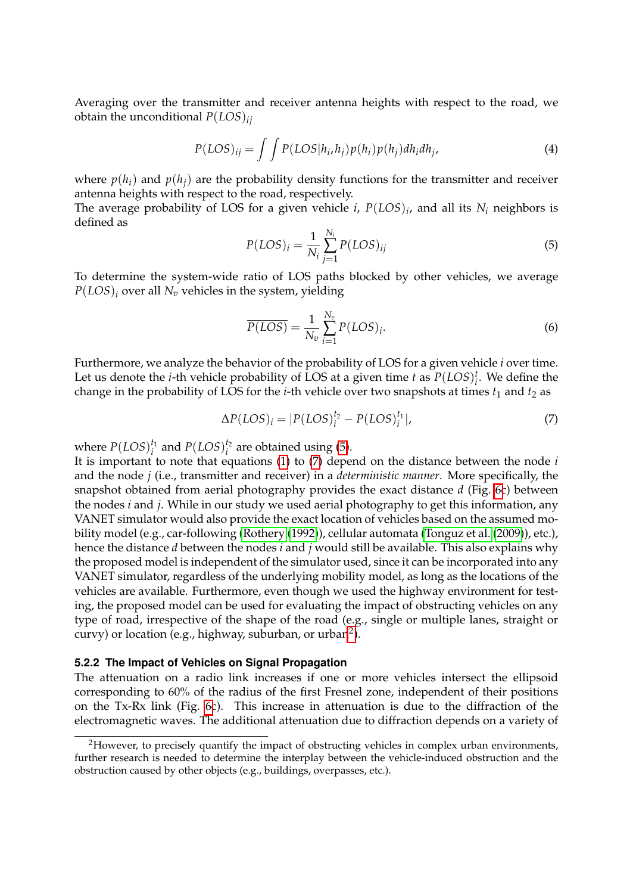Averaging over the transmitter and receiver antenna heights with respect to the road, we obtain the unconditional *P*(*LOS*)*ij*

$$
P(LOS)_{ij} = \int \int P(LOS|h_i, h_j) p(h_i) p(h_j) dh_i dh_j,
$$
\n(4)

where  $p(h_i)$  and  $p(h_j)$  are the probability density functions for the transmitter and receiver antenna heights with respect to the road, respectively.

The average probability of LOS for a given vehicle *i*,  $P(LOS)$ <sub>*i*</sub>, and all its  $N$ <sup>*i*</sup> neighbors is defined as

<span id="page-11-0"></span>
$$
P(LOS)_i = \frac{1}{N_i} \sum_{j=1}^{N_i} P(LOS)_{ij}
$$
 (5)

To determine the system-wide ratio of LOS paths blocked by other vehicles, we average *P*(*LOS*)*<sup>i</sup>* over all *N<sup>v</sup>* vehicles in the system, yielding

$$
\overline{P(LOS)} = \frac{1}{N_v} \sum_{i=1}^{N_v} P(LOS)_i.
$$
 (6)

Furthermore, we analyze the behavior of the probability of LOS for a given vehicle *i* over time. Let us denote the *i*-th vehicle probability of LOS at a given time *t* as  $P(LOS)^t$ . We define the change in the probability of LOS for the *i*-th vehicle over two snapshots at times  $t_1$  and  $t_2$  as

<span id="page-11-1"></span>
$$
\Delta P(LOS)_i = |P(LOS)_i^{t_2} - P(LOS)_i^{t_1}|,\tag{7}
$$

where  $P(LOS)_{i}^{t_1}$  and  $P(LOS)_{i}^{t_2}$  are obtained using [\(5\)](#page-11-0).

It is important to note that equations [\(1\)](#page-10-0) to [\(7\)](#page-11-1) depend on the distance between the node *i* and the node *j* (i.e., transmitter and receiver) in a *deterministic manner*. More specifically, the snapshot obtained from aerial photography provides the exact distance *d* (Fig. [6c](#page-9-0)) between the nodes *i* and *j*. While in our study we used aerial photography to get this information, any VANET simulator would also provide the exact location of vehicles based on the assumed mobility model (e.g., car-following [\(Rothery](#page-25-4) [\(1992\)](#page-25-4)), cellular automata [\(Tonguz et al.](#page-25-6) [\(2009\)](#page-25-6)), etc.), hence the distance *d* between the nodes *i* and *j* would still be available. This also explains why the proposed model is independent of the simulator used, since it can be incorporated into any VANET simulator, regardless of the underlying mobility model, as long as the locations of the vehicles are available. Furthermore, even though we used the highway environment for testing, the proposed model can be used for evaluating the impact of obstructing vehicles on any type of road, irrespective of the shape of the road (e.g., single or multiple lanes, straight or curvy) or location (e.g., highway, suburban, or urban<sup>[2](#page-11-2)</sup>).

#### **5.2.2 The Impact of Vehicles on Signal Propagation**

The attenuation on a radio link increases if one or more vehicles intersect the ellipsoid corresponding to 60% of the radius of the first Fresnel zone, independent of their positions on the Tx-Rx link (Fig. [6c](#page-9-0)). This increase in attenuation is due to the diffraction of the electromagnetic waves. The additional attenuation due to diffraction depends on a variety of

<span id="page-11-2"></span><sup>&</sup>lt;sup>2</sup>However, to precisely quantify the impact of obstructing vehicles in complex urban environments, further research is needed to determine the interplay between the vehicle-induced obstruction and the obstruction caused by other objects (e.g., buildings, overpasses, etc.).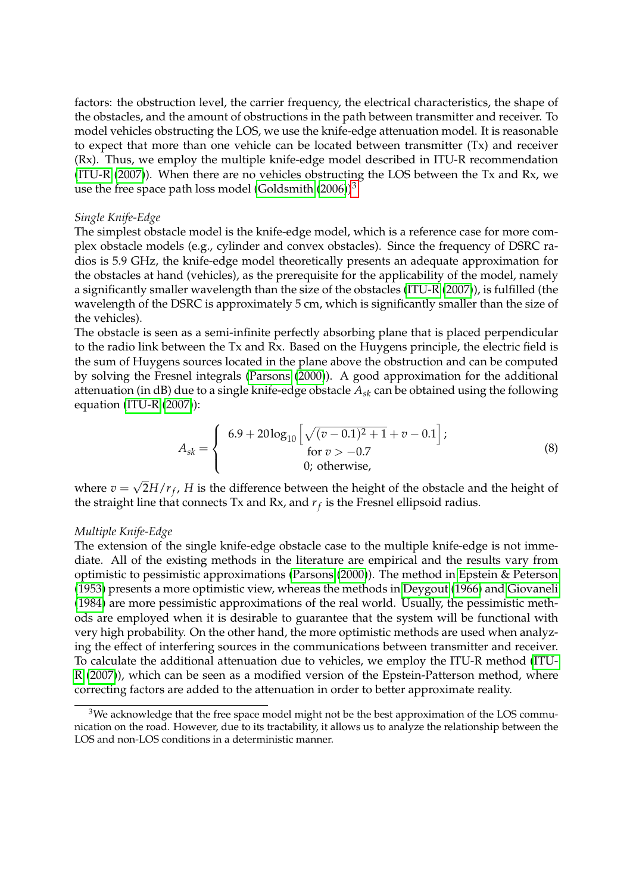factors: the obstruction level, the carrier frequency, the electrical characteristics, the shape of the obstacles, and the amount of obstructions in the path between transmitter and receiver. To model vehicles obstructing the LOS, we use the knife-edge attenuation model. It is reasonable to expect that more than one vehicle can be located between transmitter (Tx) and receiver (Rx). Thus, we employ the multiple knife-edge model described in ITU-R recommendation [\(ITU-R](#page-23-18) [\(2007\)](#page-23-18)). When there are no vehicles obstructing the LOS between the Tx and Rx, we use the free space path loss model [\(Goldsmith](#page-23-2)  $(2006))^3$  $(2006))^3$  $(2006))^3$ .

#### *Single Knife-Edge*

The simplest obstacle model is the knife-edge model, which is a reference case for more complex obstacle models (e.g., cylinder and convex obstacles). Since the frequency of DSRC radios is 5.9 GHz, the knife-edge model theoretically presents an adequate approximation for the obstacles at hand (vehicles), as the prerequisite for the applicability of the model, namely a significantly smaller wavelength than the size of the obstacles [\(ITU-R](#page-23-18) [\(2007\)](#page-23-18)), is fulfilled (the wavelength of the DSRC is approximately 5 cm, which is significantly smaller than the size of the vehicles).

The obstacle is seen as a semi-infinite perfectly absorbing plane that is placed perpendicular to the radio link between the Tx and Rx. Based on the Huygens principle, the electric field is the sum of Huygens sources located in the plane above the obstruction and can be computed by solving the Fresnel integrals [\(Parsons](#page-24-14) [\(2000\)](#page-24-14)). A good approximation for the additional attenuation (in dB) due to a single knife-edge obstacle *Ask* can be obtained using the following equation [\(ITU-R](#page-23-18) [\(2007\)](#page-23-18)):

$$
A_{sk} = \begin{cases} 6.9 + 20\log_{10}\left[\sqrt{(v - 0.1)^2 + 1} + v - 0.1\right];\\ \text{for } v > -0.7\\ 0; \text{ otherwise,} \end{cases}
$$
 (8)

where  $v = \sqrt{ }$ 2*H*/*r<sup>f</sup>* , *H* is the difference between the height of the obstacle and the height of the straight line that connects Tx and Rx, and  $r_f$  is the Fresnel ellipsoid radius.

#### *Multiple Knife-Edge*

The extension of the single knife-edge obstacle case to the multiple knife-edge is not immediate. All of the existing methods in the literature are empirical and the results vary from optimistic to pessimistic approximations [\(Parsons](#page-24-14) [\(2000\)](#page-24-14)). The method in [Epstein & Peterson](#page-22-9) [\(1953\)](#page-22-9) presents a more optimistic view, whereas the methods in [Deygout](#page-22-10) [\(1966\)](#page-22-10) and [Giovaneli](#page-23-19) [\(1984\)](#page-23-19) are more pessimistic approximations of the real world. Usually, the pessimistic methods are employed when it is desirable to guarantee that the system will be functional with very high probability. On the other hand, the more optimistic methods are used when analyzing the effect of interfering sources in the communications between transmitter and receiver. To calculate the additional attenuation due to vehicles, we employ the ITU-R method [\(ITU-](#page-23-18)[R](#page-23-18) [\(2007\)](#page-23-18)), which can be seen as a modified version of the Epstein-Patterson method, where correcting factors are added to the attenuation in order to better approximate reality.

<span id="page-12-0"></span><sup>&</sup>lt;sup>3</sup>We acknowledge that the free space model might not be the best approximation of the LOS communication on the road. However, due to its tractability, it allows us to analyze the relationship between the LOS and non-LOS conditions in a deterministic manner.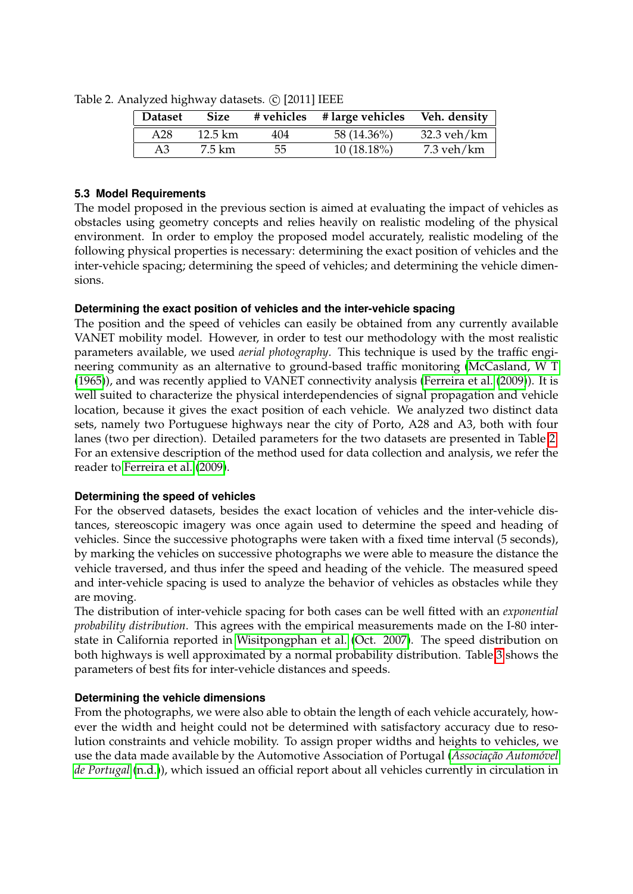| <b>Dataset</b> | <b>Size</b>       |     | # vehicles # large vehicles | Veh. density |
|----------------|-------------------|-----|-----------------------------|--------------|
| A28            | $12.5 \text{ km}$ | 404 | 58 (14.36%)                 | 32.3 veh/km  |
| A3             | 7.5 km            | 55  | $10(18.18\%)$               | 7.3 veh/km   |

<span id="page-13-1"></span>Table 2. Analyzed highway datasets. © [2011] IEEE

# <span id="page-13-0"></span>**5.3 Model Requirements**

The model proposed in the previous section is aimed at evaluating the impact of vehicles as obstacles using geometry concepts and relies heavily on realistic modeling of the physical environment. In order to employ the proposed model accurately, realistic modeling of the following physical properties is necessary: determining the exact position of vehicles and the inter-vehicle spacing; determining the speed of vehicles; and determining the vehicle dimensions.

# **Determining the exact position of vehicles and the inter-vehicle spacing**

The position and the speed of vehicles can easily be obtained from any currently available VANET mobility model. However, in order to test our methodology with the most realistic parameters available, we used *aerial photography*. This technique is used by the traffic engineering community as an alternative to ground-based traffic monitoring [\(McCasland, W T](#page-24-15) [\(1965\)](#page-24-15)), and was recently applied to VANET connectivity analysis [\(Ferreira et al.](#page-23-3) [\(2009\)](#page-23-3)). It is well suited to characterize the physical interdependencies of signal propagation and vehicle location, because it gives the exact position of each vehicle. We analyzed two distinct data sets, namely two Portuguese highways near the city of Porto, A28 and A3, both with four lanes (two per direction). Detailed parameters for the two datasets are presented in Table [2.](#page-13-1) For an extensive description of the method used for data collection and analysis, we refer the reader to [Ferreira et al.](#page-23-3) [\(2009\)](#page-23-3).

# **Determining the speed of vehicles**

For the observed datasets, besides the exact location of vehicles and the inter-vehicle distances, stereoscopic imagery was once again used to determine the speed and heading of vehicles. Since the successive photographs were taken with a fixed time interval (5 seconds), by marking the vehicles on successive photographs we were able to measure the distance the vehicle traversed, and thus infer the speed and heading of the vehicle. The measured speed and inter-vehicle spacing is used to analyze the behavior of vehicles as obstacles while they are moving.

The distribution of inter-vehicle spacing for both cases can be well fitted with an *exponential probability distribution*. This agrees with the empirical measurements made on the I-80 interstate in California reported in [Wisitpongphan et al.](#page-25-14) [\(Oct. 2007\)](#page-25-14). The speed distribution on both highways is well approximated by a normal probability distribution. Table [3](#page-14-0) shows the parameters of best fits for inter-vehicle distances and speeds.

# **Determining the vehicle dimensions**

From the photographs, we were also able to obtain the length of each vehicle accurately, however the width and height could not be determined with satisfactory accuracy due to resolution constraints and vehicle mobility. To assign proper widths and heights to vehicles, we use the data made available by the Automotive Association of Portugal (Associação Automóvel *[de Portugal](#page-22-11)* [\(n.d.\)](#page-22-11)), which issued an official report about all vehicles currently in circulation in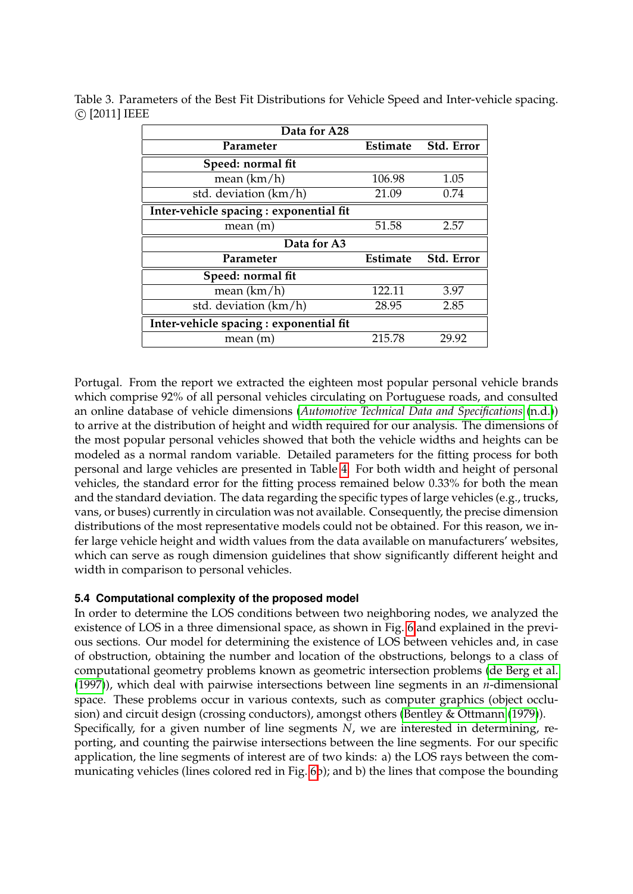| Data for A28                            |          |            |  |
|-----------------------------------------|----------|------------|--|
| Parameter                               | Estimate | Std. Error |  |
| Speed: normal fit                       |          |            |  |
| mean $(km/h)$                           | 106.98   | 1.05       |  |
| std. deviation (km/h)                   | 21.09    | 0.74       |  |
| Inter-vehicle spacing : exponential fit |          |            |  |
| mean(m)                                 | 51.58    | 2.57       |  |
| Data for A3                             |          |            |  |
| Parameter                               | Estimate | Std. Error |  |
| Speed: normal fit                       |          |            |  |
| mean $(km/h)$                           | 122.11   | 3.97       |  |
| std. deviation (km/h)                   | 28.95    | 2.85       |  |
| Inter-vehicle spacing : exponential fit |          |            |  |
| mean(m)                                 | 215.78   | 29.92      |  |

<span id="page-14-0"></span>Table 3. Parameters of the Best Fit Distributions for Vehicle Speed and Inter-vehicle spacing. c [2011] IEEE

Portugal. From the report we extracted the eighteen most popular personal vehicle brands which comprise 92% of all personal vehicles circulating on Portuguese roads, and consulted an online database of vehicle dimensions (*[Automotive Technical Data and Specifications](#page-22-12)* [\(n.d.\)](#page-22-12)) to arrive at the distribution of height and width required for our analysis. The dimensions of the most popular personal vehicles showed that both the vehicle widths and heights can be modeled as a normal random variable. Detailed parameters for the fitting process for both personal and large vehicles are presented in Table [4.](#page-15-0) For both width and height of personal vehicles, the standard error for the fitting process remained below 0.33% for both the mean and the standard deviation. The data regarding the specific types of large vehicles (e.g., trucks, vans, or buses) currently in circulation was not available. Consequently, the precise dimension distributions of the most representative models could not be obtained. For this reason, we infer large vehicle height and width values from the data available on manufacturers' websites, which can serve as rough dimension guidelines that show significantly different height and width in comparison to personal vehicles.

# <span id="page-14-1"></span>**5.4 Computational complexity of the proposed model**

In order to determine the LOS conditions between two neighboring nodes, we analyzed the existence of LOS in a three dimensional space, as shown in Fig. [6](#page-9-0) and explained in the previous sections. Our model for determining the existence of LOS between vehicles and, in case of obstruction, obtaining the number and location of the obstructions, belongs to a class of computational geometry problems known as geometric intersection problems [\(de Berg et al.](#page-22-13) [\(1997\)](#page-22-13)), which deal with pairwise intersections between line segments in an *n*-dimensional space. These problems occur in various contexts, such as computer graphics (object occlusion) and circuit design (crossing conductors), amongst others [\(Bentley & Ottmann](#page-22-14) [\(1979\)](#page-22-14)). Specifically, for a given number of line segments *N*, we are interested in determining, reporting, and counting the pairwise intersections between the line segments. For our specific application, the line segments of interest are of two kinds: a) the LOS rays between the communicating vehicles (lines colored red in Fig. [6b](#page-9-0)); and b) the lines that compose the bounding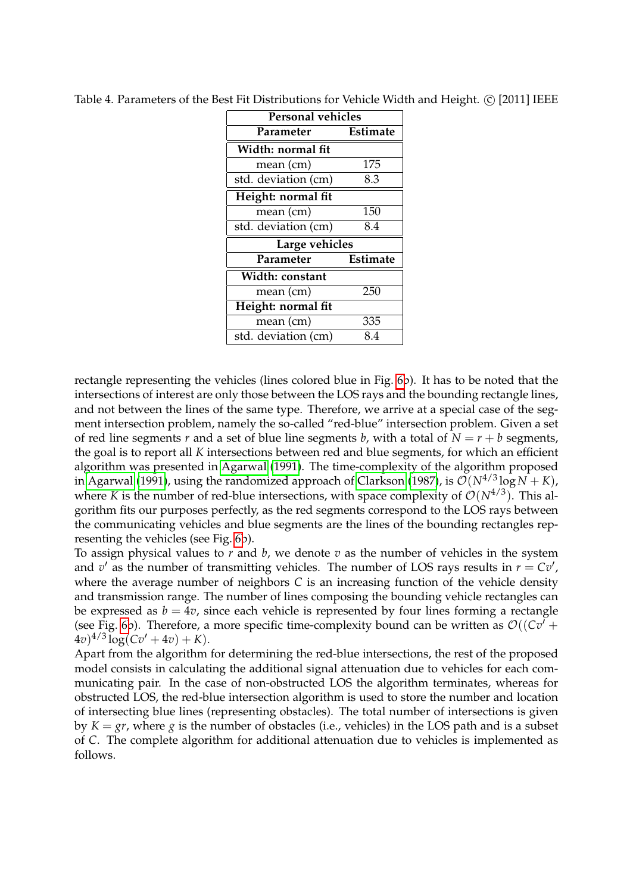| <b>Personal vehicles</b> |          |  |  |
|--------------------------|----------|--|--|
| Parameter                | Estimate |  |  |
| Width: normal fit        |          |  |  |
| mean (cm)                | 175      |  |  |
| std. deviation (cm)      | 8.3      |  |  |
| Height: normal fit       |          |  |  |
| mean (cm)                | 150      |  |  |
| std. deviation (cm)      | 8.4      |  |  |
| <b>Large vehicles</b>    |          |  |  |
| Parameter                | Estimate |  |  |
| Width: constant          |          |  |  |
| mean (cm)                | 250      |  |  |
| Height: normal fit       |          |  |  |
| mean (cm)                | 335      |  |  |
| std. deviation (cm)      | 8.4      |  |  |

<span id="page-15-0"></span>Table 4. Parameters of the Best Fit Distributions for Vehicle Width and Height. © [2011] IEEE

rectangle representing the vehicles (lines colored blue in Fig. [6b](#page-9-0)). It has to be noted that the intersections of interest are only those between the LOS rays and the bounding rectangle lines, and not between the lines of the same type. Therefore, we arrive at a special case of the segment intersection problem, namely the so-called "red-blue" intersection problem. Given a set of red line segments *r* and a set of blue line segments *b*, with a total of  $N = r + b$  segments, the goal is to report all *K* intersections between red and blue segments, for which an efficient algorithm was presented in [Agarwal](#page-22-15) [\(1991\)](#page-22-15). The time-complexity of the algorithm proposed in [Agarwal](#page-22-15) [\(1991\)](#page-22-15), using the randomized approach of [Clarkson](#page-22-16) [\(1987\)](#page-22-16), is  $\mathcal{O}(N^{4/3} \log N + K)$ , where *K* is the number of red-blue intersections, with space complexity of  $\mathcal{O}(N^{4/3})$ . This algorithm fits our purposes perfectly, as the red segments correspond to the LOS rays between the communicating vehicles and blue segments are the lines of the bounding rectangles representing the vehicles (see Fig. [6b](#page-9-0)).

To assign physical values to  $r$  and  $b$ , we denote  $v$  as the number of vehicles in the system and  $v'$  as the number of transmitting vehicles. The number of LOS rays results in  $r = Cv'$ , where the average number of neighbors *C* is an increasing function of the vehicle density and transmission range. The number of lines composing the bounding vehicle rectangles can be expressed as  $b = 4v$ , since each vehicle is represented by four lines forming a rectangle (see Fig. [6b](#page-9-0)). Therefore, a more specific time-complexity bound can be written as  $\mathcal{O}((Cv' +$  $(4v)^{4/3}$   $\log(Cv' + 4v) + K$ .

Apart from the algorithm for determining the red-blue intersections, the rest of the proposed model consists in calculating the additional signal attenuation due to vehicles for each communicating pair. In the case of non-obstructed LOS the algorithm terminates, whereas for obstructed LOS, the red-blue intersection algorithm is used to store the number and location of intersecting blue lines (representing obstacles). The total number of intersections is given by  $K = gr$ , where *g* is the number of obstacles (i.e., vehicles) in the LOS path and is a subset of *C*. The complete algorithm for additional attenuation due to vehicles is implemented as follows.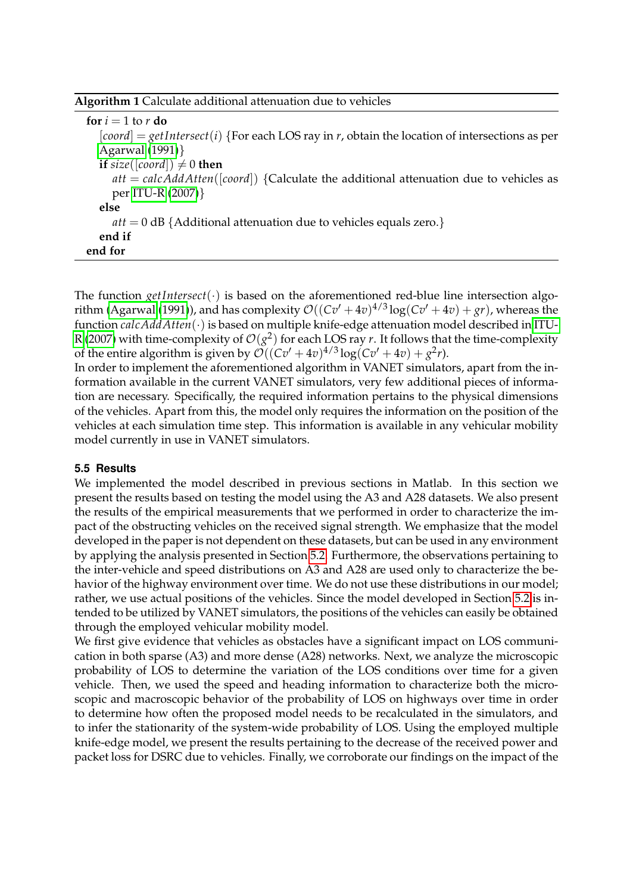**for**  $i = 1$  to  $r$  **do**  $[coord] = getInterest(i)$  {For each LOS ray in *r*, obtain the location of intersections as per [Agarwal](#page-22-15) [\(1991\)](#page-22-15)} **if**  $size([coord]) \neq 0$  **then** *att* = *calcAddAtten*([*coord*]) {Calculate the additional attenuation due to vehicles as per [ITU-R](#page-23-18) [\(2007\)](#page-23-18)} **else**  $att = 0$  dB {Additional attenuation due to vehicles equals zero.} **end if end for**

The function  $getInterest(\cdot)$  is based on the aforementioned red-blue line intersection algo-rithm [\(Agarwal](#page-22-15) [\(1991\)](#page-22-15)), and has complexity  $\mathcal{O}((C v' + 4 v)^{4/3} \log(C v' + 4 v) + gr)$ , whereas the function *calcAddAtten*(·) is based on multiple knife-edge attenuation model described in [ITU-](#page-23-18)[R](#page-23-18) [\(2007\)](#page-23-18) with time-complexity of  $\mathcal{O}(g^2)$  for each LOS ray  $r.$  It follows that the time-complexity of the entire algorithm is given by  $\mathcal{O}((Cv' + 4v)^{4/3} \log(Cv' + 4v) + g^2r)$ .

In order to implement the aforementioned algorithm in VANET simulators, apart from the information available in the current VANET simulators, very few additional pieces of information are necessary. Specifically, the required information pertains to the physical dimensions of the vehicles. Apart from this, the model only requires the information on the position of the vehicles at each simulation time step. This information is available in any vehicular mobility model currently in use in VANET simulators.

# **5.5 Results**

We implemented the model described in previous sections in Matlab. In this section we present the results based on testing the model using the A3 and A28 datasets. We also present the results of the empirical measurements that we performed in order to characterize the impact of the obstructing vehicles on the received signal strength. We emphasize that the model developed in the paper is not dependent on these datasets, but can be used in any environment by applying the analysis presented in Section [5.2.](#page-8-2) Furthermore, the observations pertaining to the inter-vehicle and speed distributions on A3 and A28 are used only to characterize the behavior of the highway environment over time. We do not use these distributions in our model; rather, we use actual positions of the vehicles. Since the model developed in Section [5.2](#page-8-2) is intended to be utilized by VANET simulators, the positions of the vehicles can easily be obtained through the employed vehicular mobility model.

We first give evidence that vehicles as obstacles have a significant impact on LOS communication in both sparse (A3) and more dense (A28) networks. Next, we analyze the microscopic probability of LOS to determine the variation of the LOS conditions over time for a given vehicle. Then, we used the speed and heading information to characterize both the microscopic and macroscopic behavior of the probability of LOS on highways over time in order to determine how often the proposed model needs to be recalculated in the simulators, and to infer the stationarity of the system-wide probability of LOS. Using the employed multiple knife-edge model, we present the results pertaining to the decrease of the received power and packet loss for DSRC due to vehicles. Finally, we corroborate our findings on the impact of the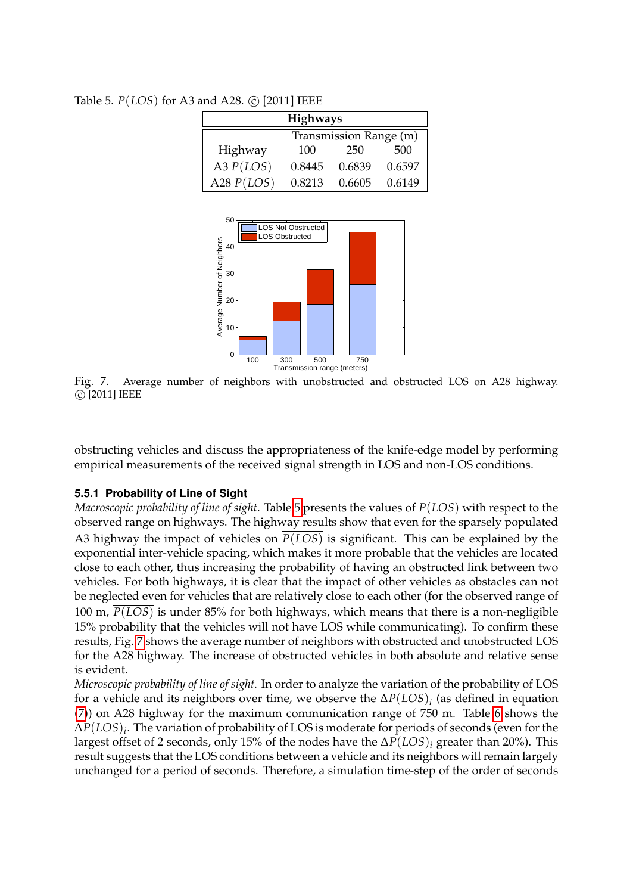<span id="page-17-1"></span><span id="page-17-0"></span>

| <b>Highways</b>         |        |        |        |
|-------------------------|--------|--------|--------|
| Transmission Range (m)  |        |        |        |
| Highway                 | 100    | 250    | 500    |
| A3 $P(LOS)$             | 0.8445 | 0.6839 | 0.6597 |
| A28 $\overline{P(LOS)}$ | 0.8213 | 0.6605 | 0.6149 |



Fig. 7. Average number of neighbors with unobstructed and obstructed LOS on A28 highway. c [2011] IEEE

obstructing vehicles and discuss the appropriateness of the knife-edge model by performing empirical measurements of the received signal strength in LOS and non-LOS conditions.

# **5.5.1 Probability of Line of Sight**

*Macroscopic probability of line of sight.* Table [5](#page-17-0) presents the values of *P*(*LOS*) with respect to the observed range on highways. The highway results show that even for the sparsely populated A3 highway the impact of vehicles on  $\overline{P(LOS)}$  is significant. This can be explained by the exponential inter-vehicle spacing, which makes it more probable that the vehicles are located close to each other, thus increasing the probability of having an obstructed link between two vehicles. For both highways, it is clear that the impact of other vehicles as obstacles can not be neglected even for vehicles that are relatively close to each other (for the observed range of 100 m, *P*(*LOS*) is under 85% for both highways, which means that there is a non-negligible 15% probability that the vehicles will not have LOS while communicating). To confirm these results, Fig. [7](#page-17-1) shows the average number of neighbors with obstructed and unobstructed LOS for the A28 highway. The increase of obstructed vehicles in both absolute and relative sense is evident.

*Microscopic probability of line of sight.* In order to analyze the variation of the probability of LOS for a vehicle and its neighbors over time, we observe the ∆*P*(*LOS*)*<sup>i</sup>* (as defined in equation [\(7\)](#page-11-1)) on A28 highway for the maximum communication range of 750 m. Table [6](#page-18-0) shows the ∆*P*(*LOS*)*<sup>i</sup>* . The variation of probability of LOS is moderate for periods of seconds (even for the largest offset of 2 seconds, only 15% of the nodes have the ∆*P*(*LOS*)*<sup>i</sup>* greater than 20%). This result suggests that the LOS conditions between a vehicle and its neighbors will remain largely unchanged for a period of seconds. Therefore, a simulation time-step of the order of seconds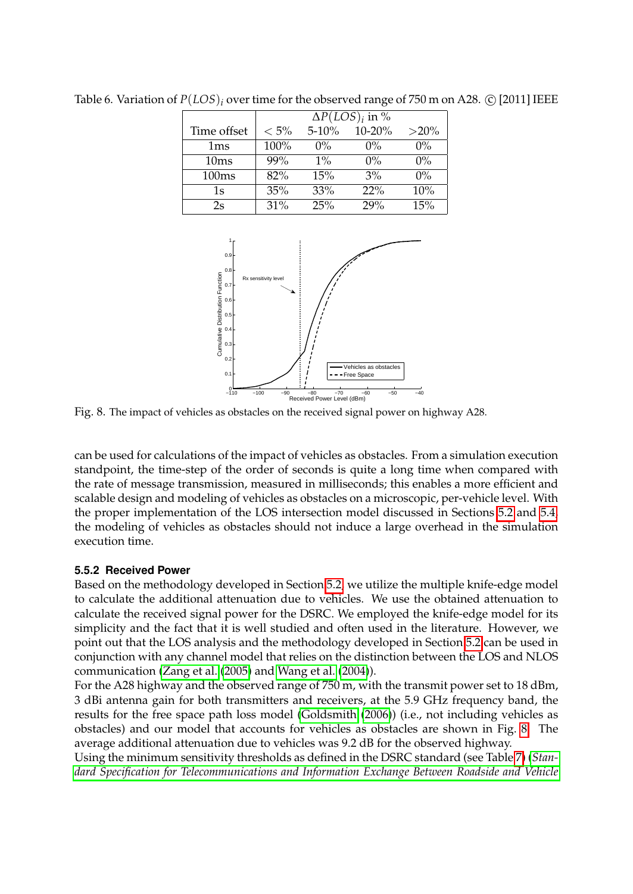|                 | $\Delta P (LOS)$ <sub>i</sub> in % |           |        |         |
|-----------------|------------------------------------|-----------|--------|---------|
| Time offset     | $< 5\%$                            | $5 - 10%$ | 10-20% | $>20\%$ |
| 1 <sub>ms</sub> | 100%                               | $0\%$     | $0\%$  | $0\%$   |
| 10ms            | 99%                                | $1\%$     | $0\%$  | $0\%$   |
| 100ms           | 82%                                | 15%       | 3%     | $0\%$   |
| 1s              | 35%                                | 33%       | 22%    | 10%     |
| 2s              | 31%                                | 25%       | 29%    | 15%     |

<span id="page-18-1"></span><span id="page-18-0"></span>Table 6. Variation of  $P(LOS)$  over time for the observed range of 750 m on A28. (c) [2011] IEEE



Fig. 8. The impact of vehicles as obstacles on the received signal power on highway A28.

can be used for calculations of the impact of vehicles as obstacles. From a simulation execution standpoint, the time-step of the order of seconds is quite a long time when compared with the rate of message transmission, measured in milliseconds; this enables a more efficient and scalable design and modeling of vehicles as obstacles on a microscopic, per-vehicle level. With the proper implementation of the LOS intersection model discussed in Sections [5.2](#page-8-2) and [5.4,](#page-14-1) the modeling of vehicles as obstacles should not induce a large overhead in the simulation execution time.

# **5.5.2 Received Power**

Based on the methodology developed in Section [5.2,](#page-8-2) we utilize the multiple knife-edge model to calculate the additional attenuation due to vehicles. We use the obtained attenuation to calculate the received signal power for the DSRC. We employed the knife-edge model for its simplicity and the fact that it is well studied and often used in the literature. However, we point out that the LOS analysis and the methodology developed in Section [5.2](#page-8-2) can be used in conjunction with any channel model that relies on the distinction between the LOS and NLOS communication [\(Zang et al.](#page-25-15) [\(2005\)](#page-25-15) and [Wang et al.](#page-25-10) [\(2004\)](#page-25-10)).

For the A28 highway and the observed range of 750 m, with the transmit power set to 18 dBm, 3 dBi antenna gain for both transmitters and receivers, at the 5.9 GHz frequency band, the results for the free space path loss model [\(Goldsmith](#page-23-2) [\(2006\)](#page-23-2)) (i.e., not including vehicles as obstacles) and our model that accounts for vehicles as obstacles are shown in Fig. [8.](#page-18-1) The average additional attenuation due to vehicles was 9.2 dB for the observed highway.

Using the minimum sensitivity thresholds as defined in the DSRC standard (see Table [7\)](#page-19-0) (*[Stan](#page-25-16)[dard Specification for Telecommunications and Information Exchange Between Roadside and Vehicle](#page-25-16)*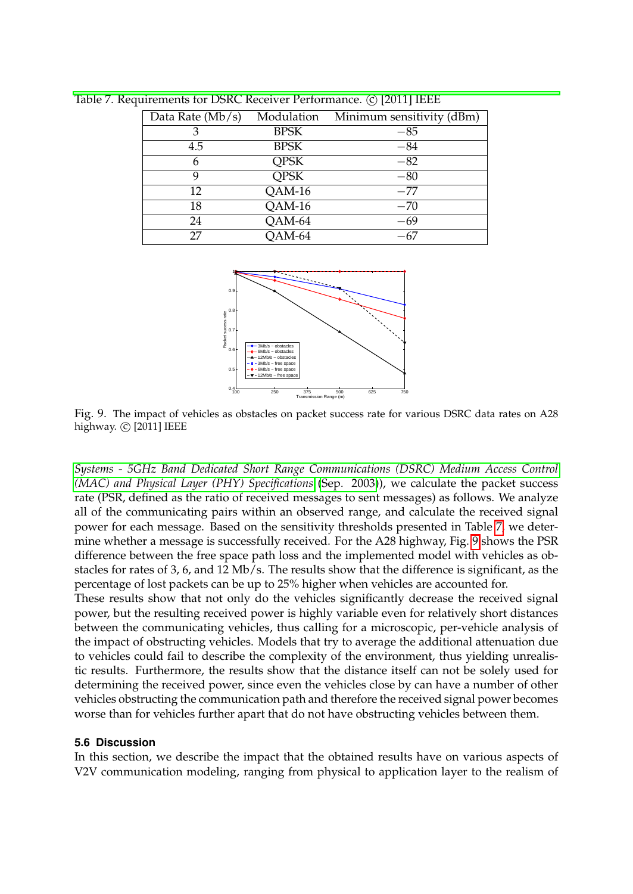| Data Rate $(Mb/s)$ | Modulation  | Minimum sensitivity (dBm) |
|--------------------|-------------|---------------------------|
|                    | <b>BPSK</b> | $-85$                     |
| 4.5                | <b>BPSK</b> | $-84$                     |
| 6                  | <b>OPSK</b> | $-82$                     |
| q                  | <b>OPSK</b> | $-80$                     |
| 12                 | OAM-16      | $-77$                     |
| 18                 | QAM-16      | $-70$                     |
| 24                 | OAM-64      | $-69$                     |
| 27                 | OAM-64      |                           |
|                    |             |                           |

<span id="page-19-0"></span>[Table 7. Requirements for DSRC Receiver Performance.](#page-25-16) © [2011] IEEE

<span id="page-19-1"></span>

Fig. 9. The impact of vehicles as obstacles on packet success rate for various DSRC data rates on A28 highway. © [2011] IEEE

*[Systems - 5GHz Band Dedicated Short Range Communications \(DSRC\) Medium Access Control](#page-25-16) [\(MAC\) and Physical Layer \(PHY\) Specifications](#page-25-16)* [\(Sep. 2003\)](#page-25-16)), we calculate the packet success rate (PSR, defined as the ratio of received messages to sent messages) as follows. We analyze all of the communicating pairs within an observed range, and calculate the received signal power for each message. Based on the sensitivity thresholds presented in Table [7,](#page-19-0) we determine whether a message is successfully received. For the A28 highway, Fig. [9](#page-19-1) shows the PSR difference between the free space path loss and the implemented model with vehicles as obstacles for rates of 3, 6, and 12 Mb/s. The results show that the difference is significant, as the percentage of lost packets can be up to 25% higher when vehicles are accounted for.

These results show that not only do the vehicles significantly decrease the received signal power, but the resulting received power is highly variable even for relatively short distances between the communicating vehicles, thus calling for a microscopic, per-vehicle analysis of the impact of obstructing vehicles. Models that try to average the additional attenuation due to vehicles could fail to describe the complexity of the environment, thus yielding unrealistic results. Furthermore, the results show that the distance itself can not be solely used for determining the received power, since even the vehicles close by can have a number of other vehicles obstructing the communication path and therefore the received signal power becomes worse than for vehicles further apart that do not have obstructing vehicles between them.

#### **5.6 Discussion**

In this section, we describe the impact that the obtained results have on various aspects of V2V communication modeling, ranging from physical to application layer to the realism of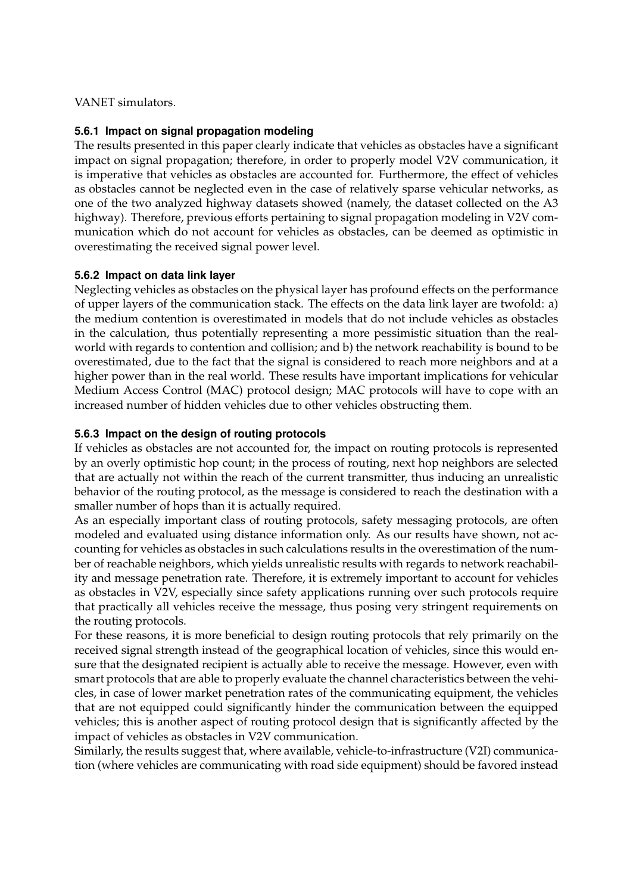VANET simulators.

# **5.6.1 Impact on signal propagation modeling**

The results presented in this paper clearly indicate that vehicles as obstacles have a significant impact on signal propagation; therefore, in order to properly model V2V communication, it is imperative that vehicles as obstacles are accounted for. Furthermore, the effect of vehicles as obstacles cannot be neglected even in the case of relatively sparse vehicular networks, as one of the two analyzed highway datasets showed (namely, the dataset collected on the A3 highway). Therefore, previous efforts pertaining to signal propagation modeling in V2V communication which do not account for vehicles as obstacles, can be deemed as optimistic in overestimating the received signal power level.

# **5.6.2 Impact on data link layer**

Neglecting vehicles as obstacles on the physical layer has profound effects on the performance of upper layers of the communication stack. The effects on the data link layer are twofold: a) the medium contention is overestimated in models that do not include vehicles as obstacles in the calculation, thus potentially representing a more pessimistic situation than the realworld with regards to contention and collision; and b) the network reachability is bound to be overestimated, due to the fact that the signal is considered to reach more neighbors and at a higher power than in the real world. These results have important implications for vehicular Medium Access Control (MAC) protocol design; MAC protocols will have to cope with an increased number of hidden vehicles due to other vehicles obstructing them.

# **5.6.3 Impact on the design of routing protocols**

If vehicles as obstacles are not accounted for, the impact on routing protocols is represented by an overly optimistic hop count; in the process of routing, next hop neighbors are selected that are actually not within the reach of the current transmitter, thus inducing an unrealistic behavior of the routing protocol, as the message is considered to reach the destination with a smaller number of hops than it is actually required.

As an especially important class of routing protocols, safety messaging protocols, are often modeled and evaluated using distance information only. As our results have shown, not accounting for vehicles as obstacles in such calculations results in the overestimation of the number of reachable neighbors, which yields unrealistic results with regards to network reachability and message penetration rate. Therefore, it is extremely important to account for vehicles as obstacles in V2V, especially since safety applications running over such protocols require that practically all vehicles receive the message, thus posing very stringent requirements on the routing protocols.

For these reasons, it is more beneficial to design routing protocols that rely primarily on the received signal strength instead of the geographical location of vehicles, since this would ensure that the designated recipient is actually able to receive the message. However, even with smart protocols that are able to properly evaluate the channel characteristics between the vehicles, in case of lower market penetration rates of the communicating equipment, the vehicles that are not equipped could significantly hinder the communication between the equipped vehicles; this is another aspect of routing protocol design that is significantly affected by the impact of vehicles as obstacles in V2V communication.

Similarly, the results suggest that, where available, vehicle-to-infrastructure (V2I) communication (where vehicles are communicating with road side equipment) should be favored instead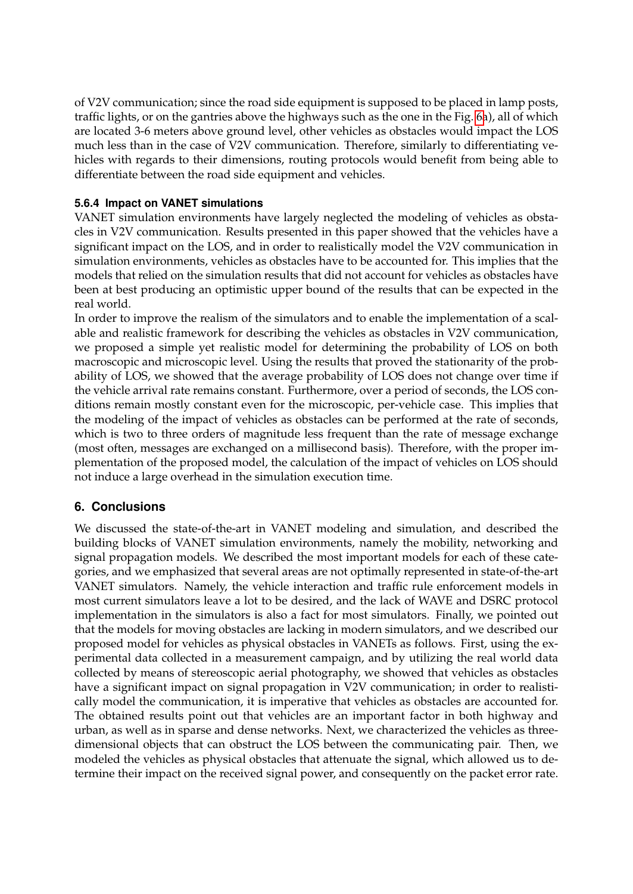of V2V communication; since the road side equipment is supposed to be placed in lamp posts, traffic lights, or on the gantries above the highways such as the one in the Fig. [6a](#page-9-0)), all of which are located 3-6 meters above ground level, other vehicles as obstacles would impact the LOS much less than in the case of V2V communication. Therefore, similarly to differentiating vehicles with regards to their dimensions, routing protocols would benefit from being able to differentiate between the road side equipment and vehicles.

# **5.6.4 Impact on VANET simulations**

VANET simulation environments have largely neglected the modeling of vehicles as obstacles in V2V communication. Results presented in this paper showed that the vehicles have a significant impact on the LOS, and in order to realistically model the V2V communication in simulation environments, vehicles as obstacles have to be accounted for. This implies that the models that relied on the simulation results that did not account for vehicles as obstacles have been at best producing an optimistic upper bound of the results that can be expected in the real world.

In order to improve the realism of the simulators and to enable the implementation of a scalable and realistic framework for describing the vehicles as obstacles in V2V communication, we proposed a simple yet realistic model for determining the probability of LOS on both macroscopic and microscopic level. Using the results that proved the stationarity of the probability of LOS, we showed that the average probability of LOS does not change over time if the vehicle arrival rate remains constant. Furthermore, over a period of seconds, the LOS conditions remain mostly constant even for the microscopic, per-vehicle case. This implies that the modeling of the impact of vehicles as obstacles can be performed at the rate of seconds, which is two to three orders of magnitude less frequent than the rate of message exchange (most often, messages are exchanged on a millisecond basis). Therefore, with the proper implementation of the proposed model, the calculation of the impact of vehicles on LOS should not induce a large overhead in the simulation execution time.

# **6. Conclusions**

We discussed the state-of-the-art in VANET modeling and simulation, and described the building blocks of VANET simulation environments, namely the mobility, networking and signal propagation models. We described the most important models for each of these categories, and we emphasized that several areas are not optimally represented in state-of-the-art VANET simulators. Namely, the vehicle interaction and traffic rule enforcement models in most current simulators leave a lot to be desired, and the lack of WAVE and DSRC protocol implementation in the simulators is also a fact for most simulators. Finally, we pointed out that the models for moving obstacles are lacking in modern simulators, and we described our proposed model for vehicles as physical obstacles in VANETs as follows. First, using the experimental data collected in a measurement campaign, and by utilizing the real world data collected by means of stereoscopic aerial photography, we showed that vehicles as obstacles have a significant impact on signal propagation in V2V communication; in order to realistically model the communication, it is imperative that vehicles as obstacles are accounted for. The obtained results point out that vehicles are an important factor in both highway and urban, as well as in sparse and dense networks. Next, we characterized the vehicles as threedimensional objects that can obstruct the LOS between the communicating pair. Then, we modeled the vehicles as physical obstacles that attenuate the signal, which allowed us to determine their impact on the received signal power, and consequently on the packet error rate.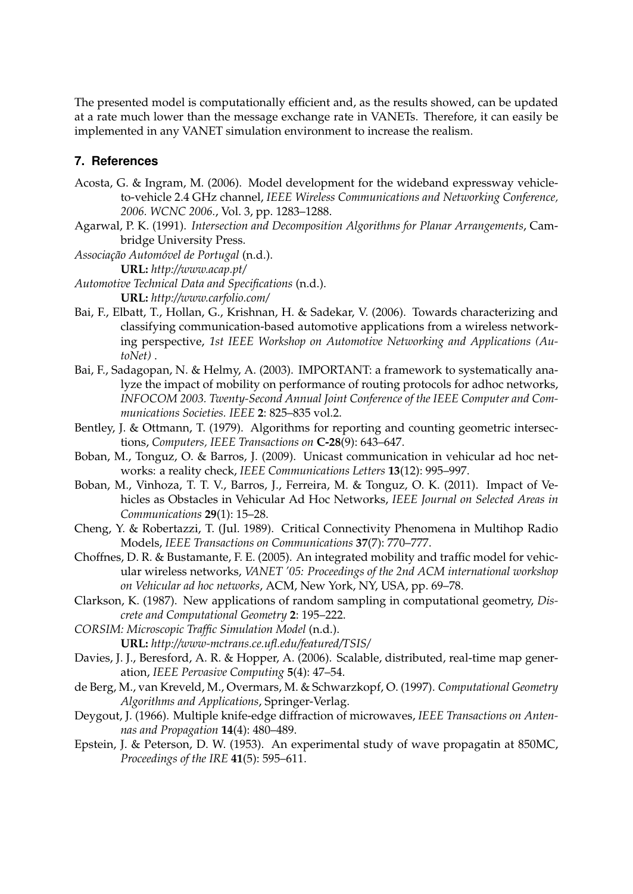The presented model is computationally efficient and, as the results showed, can be updated at a rate much lower than the message exchange rate in VANETs. Therefore, it can easily be implemented in any VANET simulation environment to increase the realism.

#### **7. References**

- <span id="page-22-8"></span>Acosta, G. & Ingram, M. (2006). Model development for the wideband expressway vehicleto-vehicle 2.4 GHz channel, *IEEE Wireless Communications and Networking Conference, 2006. WCNC 2006.*, Vol. 3, pp. 1283–1288.
- <span id="page-22-15"></span>Agarwal, P. K. (1991). *Intersection and Decomposition Algorithms for Planar Arrangements*, Cambridge University Press.

<span id="page-22-11"></span>*Associa¸c˜ao Autom´ovel de Portugal* (n.d.). **URL:** *http://www.acap.pt/*

<span id="page-22-12"></span>*Automotive Technical Data and Specifications* (n.d.). **URL:** *http://www.carfolio.com/*

- <span id="page-22-1"></span>Bai, F., Elbatt, T., Hollan, G., Krishnan, H. & Sadekar, V. (2006). Towards characterizing and classifying communication-based automotive applications from a wireless networking perspective, *1st IEEE Workshop on Automotive Networking and Applications (AutoNet)* .
- <span id="page-22-3"></span>Bai, F., Sadagopan, N. & Helmy, A. (2003). IMPORTANT: a framework to systematically analyze the impact of mobility on performance of routing protocols for adhoc networks, *INFOCOM 2003. Twenty-Second Annual Joint Conference of the IEEE Computer and Communications Societies. IEEE* **2**: 825–835 vol.2.
- <span id="page-22-14"></span>Bentley, J. & Ottmann, T. (1979). Algorithms for reporting and counting geometric intersections, *Computers, IEEE Transactions on* **C-28**(9): 643–647.
- <span id="page-22-7"></span>Boban, M., Tonguz, O. & Barros, J. (2009). Unicast communication in vehicular ad hoc networks: a reality check, *IEEE Communications Letters* **13**(12): 995–997.
- <span id="page-22-0"></span>Boban, M., Vinhoza, T. T. V., Barros, J., Ferreira, M. & Tonguz, O. K. (2011). Impact of Vehicles as Obstacles in Vehicular Ad Hoc Networks, *IEEE Journal on Selected Areas in Communications* **29**(1): 15–28.
- <span id="page-22-6"></span>Cheng, Y. & Robertazzi, T. (Jul. 1989). Critical Connectivity Phenomena in Multihop Radio Models, *IEEE Transactions on Communications* **37**(7): 770–777.
- <span id="page-22-2"></span>Choffnes, D. R. & Bustamante, F. E. (2005). An integrated mobility and traffic model for vehicular wireless networks, *VANET '05: Proceedings of the 2nd ACM international workshop on Vehicular ad hoc networks*, ACM, New York, NY, USA, pp. 69–78.
- <span id="page-22-16"></span>Clarkson, K. (1987). New applications of random sampling in computational geometry, *Discrete and Computational Geometry* **2**: 195–222.
- <span id="page-22-5"></span>*CORSIM: Microscopic Traffic Simulation Model* (n.d.). **URL:** *http://www-mctrans.ce.ufl.edu/featured/TSIS/*
- <span id="page-22-4"></span>Davies, J. J., Beresford, A. R. & Hopper, A. (2006). Scalable, distributed, real-time map generation, *IEEE Pervasive Computing* **5**(4): 47–54.
- <span id="page-22-13"></span>de Berg, M., van Kreveld, M., Overmars, M. & Schwarzkopf, O. (1997). *Computational Geometry Algorithms and Applications*, Springer-Verlag.
- <span id="page-22-10"></span>Deygout, J. (1966). Multiple knife-edge diffraction of microwaves, *IEEE Transactions on Antennas and Propagation* **14**(4): 480–489.
- <span id="page-22-9"></span>Epstein, J. & Peterson, D. W. (1953). An experimental study of wave propagatin at 850MC, *Proceedings of the IRE* **41**(5): 595–611.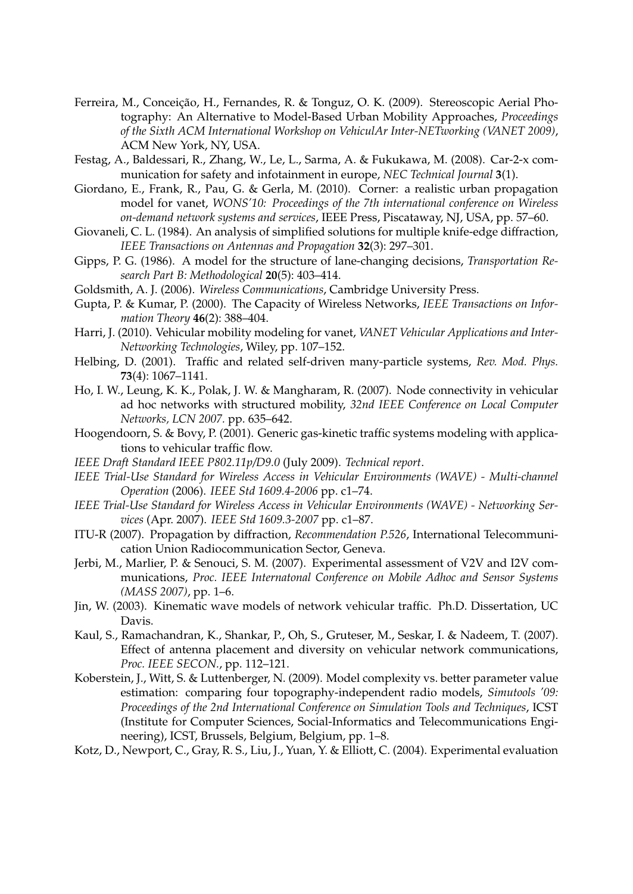- <span id="page-23-3"></span>Ferreira, M., Conceicão, H., Fernandes, R. & Tonguz, O. K. (2009). Stereoscopic Aerial Photography: An Alternative to Model-Based Urban Mobility Approaches, *Proceedings of the Sixth ACM International Workshop on VehiculAr Inter-NETworking (VANET 2009)*, ACM New York, NY, USA.
- <span id="page-23-16"></span>Festag, A., Baldessari, R., Zhang, W., Le, L., Sarma, A. & Fukukawa, M. (2008). Car-2-x communication for safety and infotainment in europe, *NEC Technical Journal* **3**(1).
- <span id="page-23-14"></span>Giordano, E., Frank, R., Pau, G. & Gerla, M. (2010). Corner: a realistic urban propagation model for vanet, *WONS'10: Proceedings of the 7th international conference on Wireless on-demand network systems and services*, IEEE Press, Piscataway, NJ, USA, pp. 57–60.
- <span id="page-23-19"></span>Giovaneli, C. L. (1984). An analysis of simplified solutions for multiple knife-edge diffraction, *IEEE Transactions on Antennas and Propagation* **32**(3): 297–301.
- <span id="page-23-6"></span>Gipps, P. G. (1986). A model for the structure of lane-changing decisions, *Transportation Research Part B: Methodological* **20**(5): 403–414.
- <span id="page-23-2"></span>Goldsmith, A. J. (2006). *Wireless Communications*, Cambridge University Press.
- <span id="page-23-13"></span>Gupta, P. & Kumar, P. (2000). The Capacity of Wireless Networks, *IEEE Transactions on Information Theory* **46**(2): 388–404.
- <span id="page-23-5"></span>Harri, J. (2010). Vehicular mobility modeling for vanet, *VANET Vehicular Applications and Inter-Networking Technologies*, Wiley, pp. 107–152.
- <span id="page-23-7"></span>Helbing, D. (2001). Traffic and related self-driven many-particle systems, *Rev. Mod. Phys.* **73**(4): 1067–1141.
- <span id="page-23-4"></span>Ho, I. W., Leung, K. K., Polak, J. W. & Mangharam, R. (2007). Node connectivity in vehicular ad hoc networks with structured mobility, *32nd IEEE Conference on Local Computer Networks, LCN 2007.* pp. 635–642.
- <span id="page-23-8"></span>Hoogendoorn, S. & Bovy, P. (2001). Generic gas-kinetic traffic systems modeling with applications to vehicular traffic flow.
- <span id="page-23-11"></span>*IEEE Draft Standard IEEE P802.11p/D9.0* (July 2009). *Technical report*.
- <span id="page-23-12"></span>*IEEE Trial-Use Standard for Wireless Access in Vehicular Environments (WAVE) - Multi-channel Operation* (2006). *IEEE Std 1609.4-2006* pp. c1–74.
- <span id="page-23-10"></span>*IEEE Trial-Use Standard for Wireless Access in Vehicular Environments (WAVE) - Networking Services* (Apr. 2007). *IEEE Std 1609.3-2007* pp. c1–87.
- <span id="page-23-18"></span>ITU-R (2007). Propagation by diffraction, *Recommendation P.526*, International Telecommunication Union Radiocommunication Sector, Geneva.
- <span id="page-23-15"></span>Jerbi, M., Marlier, P. & Senouci, S. M. (2007). Experimental assessment of V2V and I2V communications, *Proc. IEEE Internatonal Conference on Mobile Adhoc and Sensor Systems (MASS 2007)*, pp. 1–6.
- <span id="page-23-9"></span>Jin, W. (2003). Kinematic wave models of network vehicular traffic. Ph.D. Dissertation, UC Davis.
- <span id="page-23-17"></span>Kaul, S., Ramachandran, K., Shankar, P., Oh, S., Gruteser, M., Seskar, I. & Nadeem, T. (2007). Effect of antenna placement and diversity on vehicular network communications, *Proc. IEEE SECON.*, pp. 112–121.
- <span id="page-23-1"></span>Koberstein, J., Witt, S. & Luttenberger, N. (2009). Model complexity vs. better parameter value estimation: comparing four topography-independent radio models, *Simutools '09: Proceedings of the 2nd International Conference on Simulation Tools and Techniques*, ICST (Institute for Computer Sciences, Social-Informatics and Telecommunications Engineering), ICST, Brussels, Belgium, Belgium, pp. 1–8.
- <span id="page-23-0"></span>Kotz, D., Newport, C., Gray, R. S., Liu, J., Yuan, Y. & Elliott, C. (2004). Experimental evaluation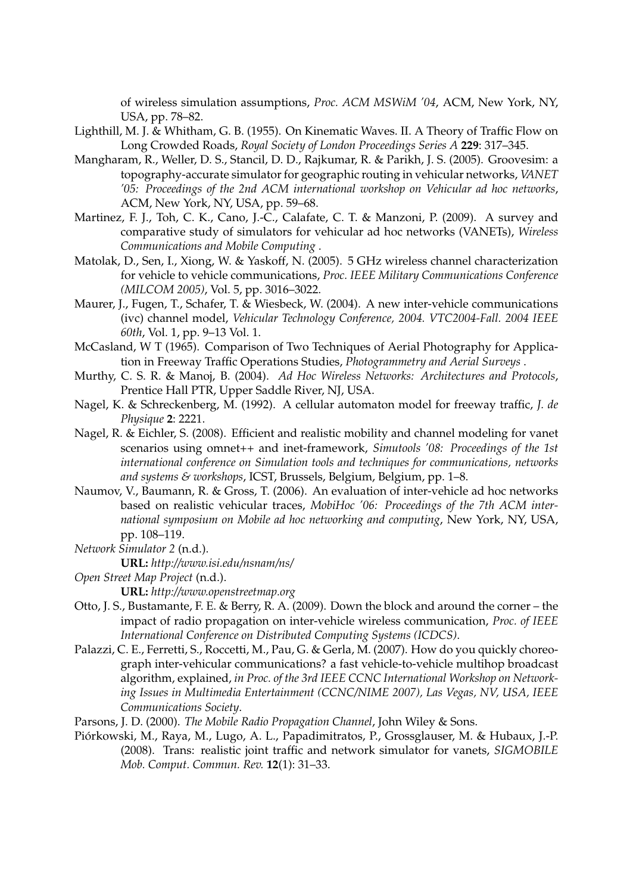of wireless simulation assumptions, *Proc. ACM MSWiM '04*, ACM, New York, NY, USA, pp. 78–82.

- <span id="page-24-6"></span>Lighthill, M. J. & Whitham, G. B. (1955). On Kinematic Waves. II. A Theory of Traffic Flow on Long Crowded Roads, *Royal Society of London Proceedings Series A* **229**: 317–345.
- <span id="page-24-2"></span>Mangharam, R., Weller, D. S., Stancil, D. D., Rajkumar, R. & Parikh, J. S. (2005). Groovesim: a topography-accurate simulator for geographic routing in vehicular networks, *VANET '05: Proceedings of the 2nd ACM international workshop on Vehicular ad hoc networks*, ACM, New York, NY, USA, pp. 59–68.
- <span id="page-24-13"></span>Martinez, F. J., Toh, C. K., Cano, J.-C., Calafate, C. T. & Manzoni, P. (2009). A survey and comparative study of simulators for vehicular ad hoc networks (VANETs), *Wireless Communications and Mobile Computing* .
- <span id="page-24-12"></span>Matolak, D., Sen, I., Xiong, W. & Yaskoff, N. (2005). 5 GHz wireless channel characterization for vehicle to vehicle communications, *Proc. IEEE Military Communications Conference (MILCOM 2005)*, Vol. 5, pp. 3016–3022.
- <span id="page-24-0"></span>Maurer, J., Fugen, T., Schafer, T. & Wiesbeck, W. (2004). A new inter-vehicle communications (ivc) channel model, *Vehicular Technology Conference, 2004. VTC2004-Fall. 2004 IEEE 60th*, Vol. 1, pp. 9–13 Vol. 1.
- <span id="page-24-15"></span>McCasland, W T (1965). Comparison of Two Techniques of Aerial Photography for Application in Freeway Traffic Operations Studies, *Photogrammetry and Aerial Surveys* .
- <span id="page-24-7"></span>Murthy, C. S. R. & Manoj, B. (2004). *Ad Hoc Wireless Networks: Architectures and Protocols*, Prentice Hall PTR, Upper Saddle River, NJ, USA.
- <span id="page-24-5"></span>Nagel, K. & Schreckenberg, M. (1992). A cellular automaton model for freeway traffic, *J. de Physique* **2**: 2221.
- <span id="page-24-10"></span>Nagel, R. & Eichler, S. (2008). Efficient and realistic mobility and channel modeling for vanet scenarios using omnet++ and inet-framework, *Simutools '08: Proceedings of the 1st international conference on Simulation tools and techniques for communications, networks and systems & workshops*, ICST, Brussels, Belgium, Belgium, pp. 1–8.
- <span id="page-24-1"></span>Naumov, V., Baumann, R. & Gross, T. (2006). An evaluation of inter-vehicle ad hoc networks based on realistic vehicular traces, *MobiHoc '06: Proceedings of the 7th ACM international symposium on Mobile ad hoc networking and computing*, New York, NY, USA, pp. 108–119.
- <span id="page-24-8"></span>*Network Simulator 2* (n.d.).

**URL:** *http://www.isi.edu/nsnam/ns/*

<span id="page-24-3"></span>*Open Street Map Project* (n.d.).

**URL:** *http://www.openstreetmap.org*

- <span id="page-24-11"></span>Otto, J. S., Bustamante, F. E. & Berry, R. A. (2009). Down the block and around the corner – the impact of radio propagation on inter-vehicle wireless communication, *Proc. of IEEE International Conference on Distributed Computing Systems (ICDCS)*.
- <span id="page-24-9"></span>Palazzi, C. E., Ferretti, S., Roccetti, M., Pau, G. & Gerla, M. (2007). How do you quickly choreograph inter-vehicular communications? a fast vehicle-to-vehicle multihop broadcast algorithm, explained, *in Proc. of the 3rd IEEE CCNC International Workshop on Networking Issues in Multimedia Entertainment (CCNC/NIME 2007), Las Vegas, NV, USA, IEEE Communications Society*.
- <span id="page-24-14"></span>Parsons, J. D. (2000). *The Mobile Radio Propagation Channel*, John Wiley & Sons.
- <span id="page-24-4"></span>Piorkowski, M., Raya, M., Lugo, A. L., Papadimitratos, P., Grossglauser, M. & Hubaux, J.-P. ´ (2008). Trans: realistic joint traffic and network simulator for vanets, *SIGMOBILE Mob. Comput. Commun. Rev.* **12**(1): 31–33.